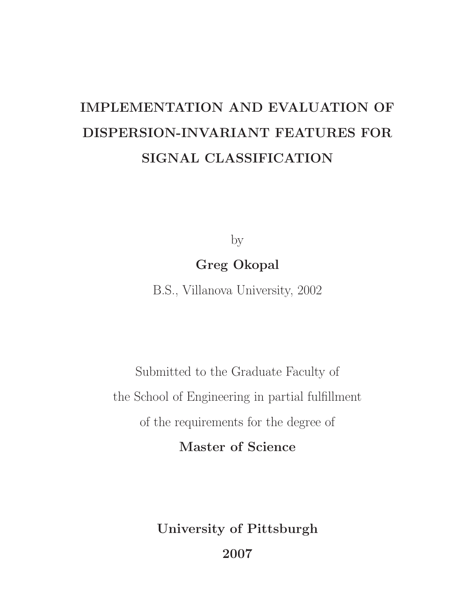# IMPLEMENTATION AND EVALUATION OF DISPERSION-INVARIANT FEATURES FOR SIGNAL CLASSIFICATION

by

## Greg Okopal

B.S., Villanova University, 2002

Submitted to the Graduate Faculty of the School of Engineering in partial fulfillment of the requirements for the degree of

Master of Science

University of Pittsburgh 2007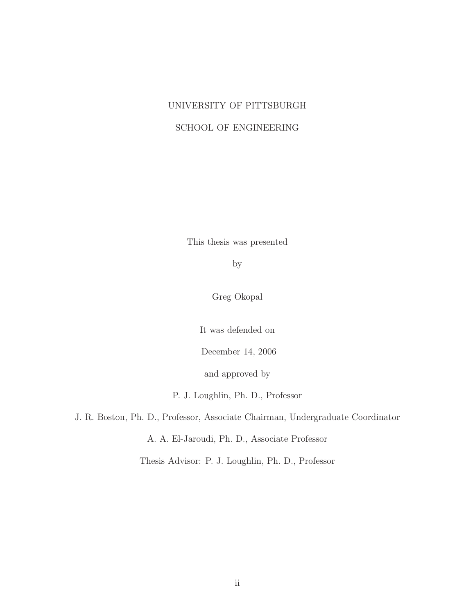## UNIVERSITY OF PITTSBURGH SCHOOL OF ENGINEERING

This thesis was presented

by

Greg Okopal

It was defended on

December 14, 2006

and approved by

P. J. Loughlin, Ph. D., Professor

J. R. Boston, Ph. D., Professor, Associate Chairman, Undergraduate Coordinator

A. A. El-Jaroudi, Ph. D., Associate Professor

Thesis Advisor: P. J. Loughlin, Ph. D., Professor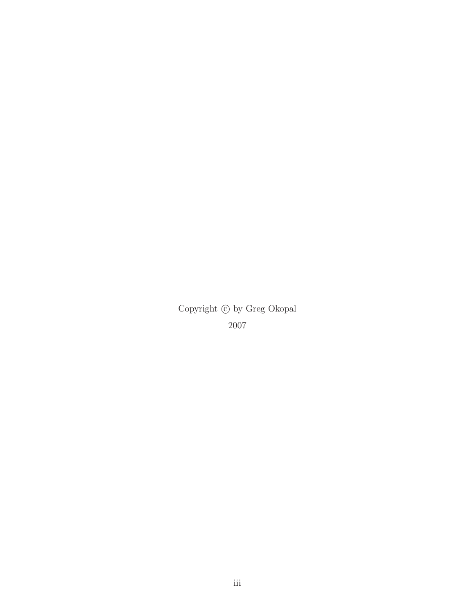Copyright  $\copyright$  by Greg Okopal 2007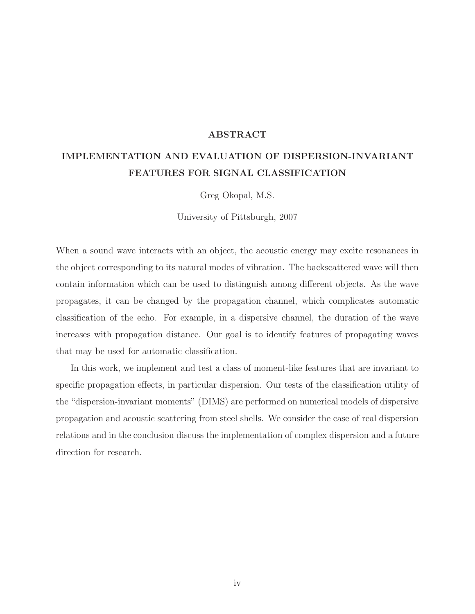#### ABSTRACT

## IMPLEMENTATION AND EVALUATION OF DISPERSION-INVARIANT FEATURES FOR SIGNAL CLASSIFICATION

Greg Okopal, M.S.

University of Pittsburgh, 2007

When a sound wave interacts with an object, the acoustic energy may excite resonances in the object corresponding to its natural modes of vibration. The backscattered wave will then contain information which can be used to distinguish among different objects. As the wave propagates, it can be changed by the propagation channel, which complicates automatic classification of the echo. For example, in a dispersive channel, the duration of the wave increases with propagation distance. Our goal is to identify features of propagating waves that may be used for automatic classification.

In this work, we implement and test a class of moment-like features that are invariant to specific propagation effects, in particular dispersion. Our tests of the classification utility of the "dispersion-invariant moments" (DIMS) are performed on numerical models of dispersive propagation and acoustic scattering from steel shells. We consider the case of real dispersion relations and in the conclusion discuss the implementation of complex dispersion and a future direction for research.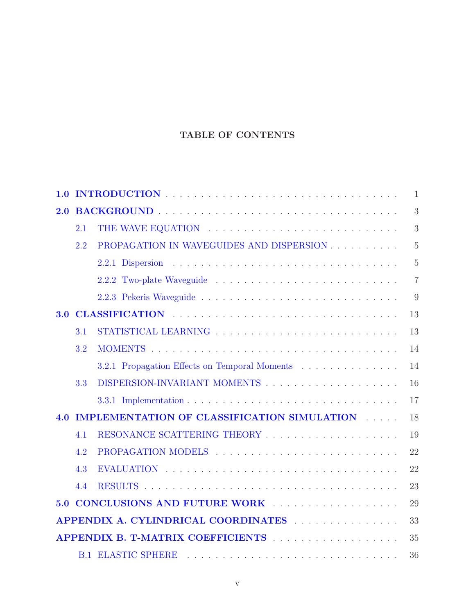### TABLE OF CONTENTS

| 1.0 | $\mathbf{1}$ |                                                                                                    |                |  |
|-----|--------------|----------------------------------------------------------------------------------------------------|----------------|--|
| 2.0 |              |                                                                                                    |                |  |
|     | 2.1          |                                                                                                    | 3              |  |
|     | 2.2          | PROPAGATION IN WAVEGUIDES AND DISPERSION                                                           | $\overline{5}$ |  |
|     |              |                                                                                                    | $\overline{5}$ |  |
|     |              |                                                                                                    | $\overline{7}$ |  |
|     |              |                                                                                                    | 9              |  |
| 3.0 |              |                                                                                                    | 13             |  |
|     | 3.1          |                                                                                                    | 13             |  |
|     | 3.2          |                                                                                                    | 14             |  |
|     |              | 3.2.1 Propagation Effects on Temporal Moments                                                      | 14             |  |
|     | 3.3          |                                                                                                    | 16             |  |
|     |              |                                                                                                    | 17             |  |
| 4.0 |              | IMPLEMENTATION OF CLASSIFICATION SIMULATION                                                        | 18             |  |
|     | 4.1          |                                                                                                    | 19             |  |
|     | 4.2          |                                                                                                    | 22             |  |
|     | 4.3          |                                                                                                    | 22             |  |
|     | 4.4          |                                                                                                    | 23             |  |
|     |              | 5.0 CONCLUSIONS AND FUTURE WORK                                                                    | 29             |  |
| 33  |              |                                                                                                    |                |  |
|     |              |                                                                                                    | 35             |  |
|     |              | <b>B.1 ELASTIC SPHERE</b><br>a de la caractería de la caractería de la caractería de la caractería | 36             |  |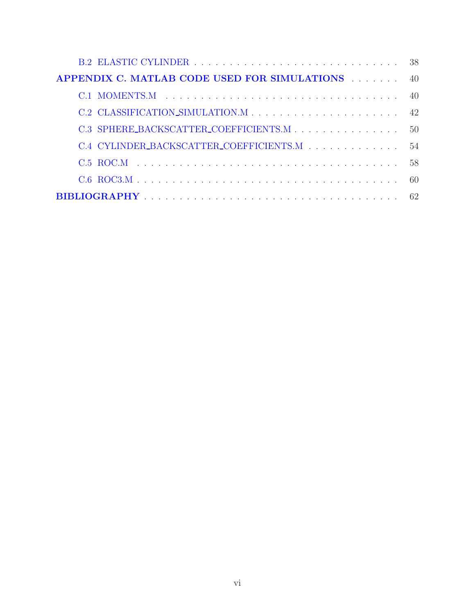| <b>APPENDIX C. MATLAB CODE USED FOR SIMULATIONS</b> 40 |              |
|--------------------------------------------------------|--------------|
|                                                        |              |
|                                                        |              |
|                                                        | $50^{\circ}$ |
| C.4 CYLINDER_BACKSCATTER_COEFFICIENTS.M                | 54           |
|                                                        | 58           |
|                                                        |              |
|                                                        |              |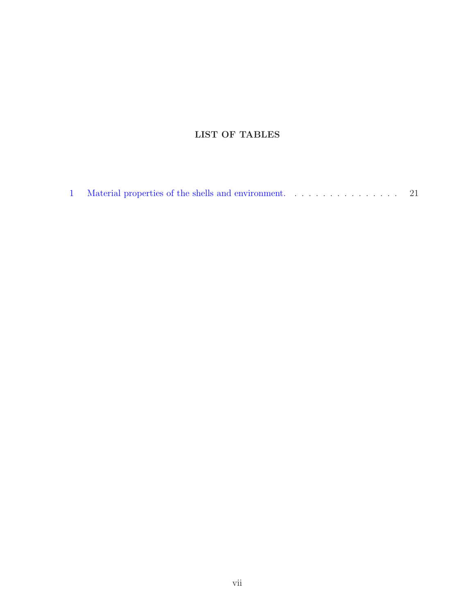## LIST OF TABLES

|  |  |  | 1 Material properties of the shells and environment. 21 |  |  |  |
|--|--|--|---------------------------------------------------------|--|--|--|
|--|--|--|---------------------------------------------------------|--|--|--|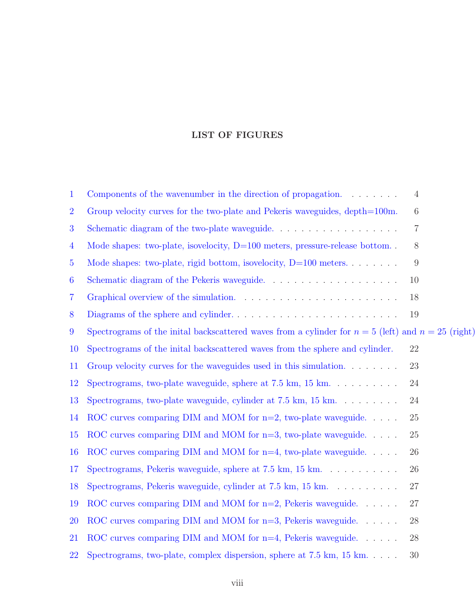### LIST OF FIGURES

| $\mathbf{1}$     | Components of the wavenumber in the direction of propagation. $\dots \dots$                             | 4                |
|------------------|---------------------------------------------------------------------------------------------------------|------------------|
| $\overline{2}$   | Group velocity curves for the two-plate and Pekeris waveguides, depth=100m.                             | 6                |
| 3                | Schematic diagram of the two-plate waveguide. $\ldots \ldots \ldots \ldots \ldots \ldots$               | $\overline{7}$   |
| $\overline{4}$   | Mode shapes: two-plate, isovelocity, $D=100$ meters, pressure-release bottom                            | 8                |
| $\overline{5}$   | Mode shapes: two-plate, rigid bottom, isovelocity, $D=100$ meters                                       | $\boldsymbol{9}$ |
| $\boldsymbol{6}$ |                                                                                                         | 10               |
| $\overline{7}$   |                                                                                                         | 18               |
| 8                |                                                                                                         | 19               |
| 9                | Spectrograms of the initial backscattered waves from a cylinder for $n = 5$ (left) and $n = 25$ (right) |                  |
| <b>10</b>        | Spectrograms of the initial backscattered waves from the sphere and cylinder.                           | 22               |
| 11               | Group velocity curves for the waveguides used in this simulation. $\dots \dots$                         | 23               |
| 12               | Spectrograms, two-plate waveguide, sphere at $7.5 \text{ km}, 15 \text{ km}. \dots \dots$               | 24               |
| 13               | Spectrograms, two-plate waveguide, cylinder at $7.5 \text{ km}$ , $15 \text{ km}$                       | 24               |
| 14               | ROC curves comparing DIM and MOM for $n=2$ , two-plate waveguide.                                       | 25               |
| 15               | ROC curves comparing DIM and MOM for $n=3$ , two-plate waveguide                                        | 25               |
| 16               | ROC curves comparing DIM and MOM for $n=4$ , two-plate waveguide.                                       | 26               |
| 17               | Spectrograms, Pekeris waveguide, sphere at $7.5 \text{ km}$ , $15 \text{ km}$                           | 26               |
| 18               | Spectrograms, Pekeris waveguide, cylinder at $7.5 \text{ km}$ , $15 \text{ km}$                         | 27               |
| 19               | ROC curves comparing DIM and MOM for $n=2$ , Pekeris waveguide.                                         | 27               |
| 20               | ROC curves comparing DIM and MOM for $n=3$ , Pekeris waveguide.                                         | 28               |
| 21               | ROC curves comparing DIM and MOM for $n=4$ , Pekeris waveguide.                                         | 28               |
| 22               | Spectrograms, two-plate, complex dispersion, sphere at $7.5$ km, $15$ km                                | 30               |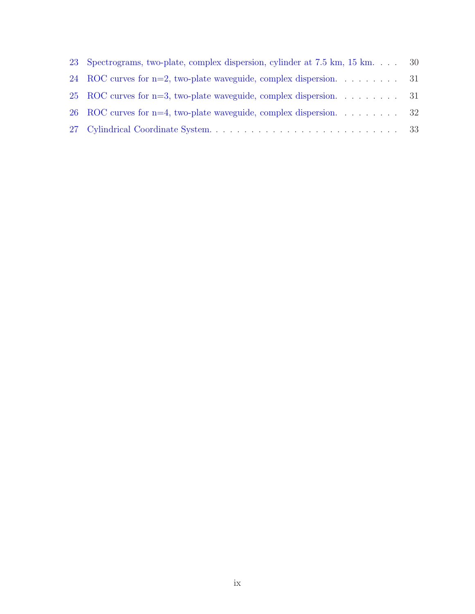| 23 Spectrograms, two-plate, complex dispersion, cylinder at 7.5 km, 15 km 30 |  |
|------------------------------------------------------------------------------|--|
| 24 ROC curves for $n=2$ , two-plate waveguide, complex dispersion. 31        |  |
| 25 ROC curves for n=3, two-plate waveguide, complex dispersion. 31           |  |
| 26 ROC curves for $n=4$ , two-plate waveguide, complex dispersion. 32        |  |
|                                                                              |  |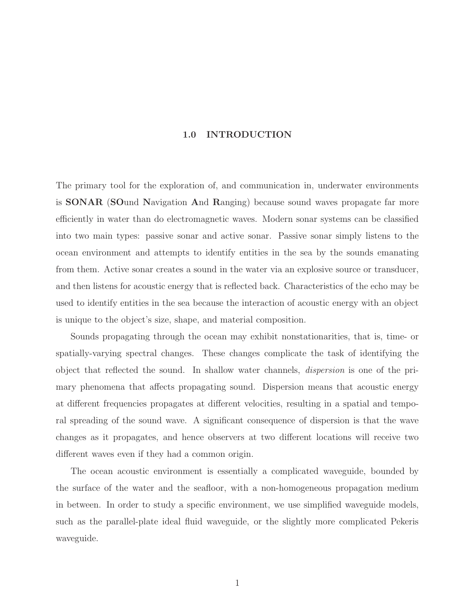#### 1.0 INTRODUCTION

<span id="page-9-0"></span>The primary tool for the exploration of, and communication in, underwater environments is SONAR (SOund Navigation And Ranging) because sound waves propagate far more efficiently in water than do electromagnetic waves. Modern sonar systems can be classified into two main types: passive sonar and active sonar. Passive sonar simply listens to the ocean environment and attempts to identify entities in the sea by the sounds emanating from them. Active sonar creates a sound in the water via an explosive source or transducer, and then listens for acoustic energy that is reflected back. Characteristics of the echo may be used to identify entities in the sea because the interaction of acoustic energy with an object is unique to the object's size, shape, and material composition.

Sounds propagating through the ocean may exhibit nonstationarities, that is, time- or spatially-varying spectral changes. These changes complicate the task of identifying the object that reflected the sound. In shallow water channels, dispersion is one of the primary phenomena that affects propagating sound. Dispersion means that acoustic energy at different frequencies propagates at different velocities, resulting in a spatial and temporal spreading of the sound wave. A significant consequence of dispersion is that the wave changes as it propagates, and hence observers at two different locations will receive two different waves even if they had a common origin.

The ocean acoustic environment is essentially a complicated waveguide, bounded by the surface of the water and the seafloor, with a non-homogeneous propagation medium in between. In order to study a specific environment, we use simplified waveguide models, such as the parallel-plate ideal fluid waveguide, or the slightly more complicated Pekeris waveguide.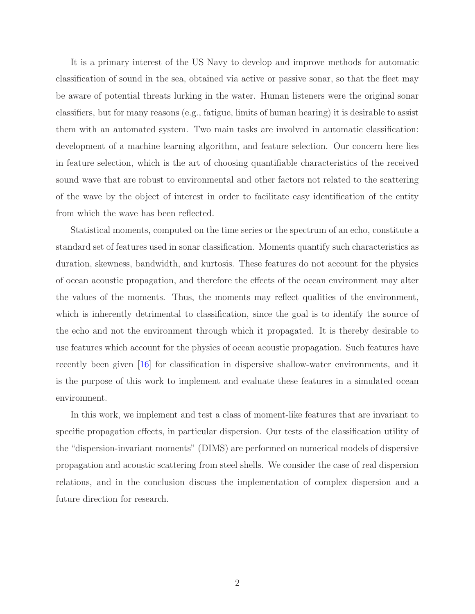It is a primary interest of the US Navy to develop and improve methods for automatic classification of sound in the sea, obtained via active or passive sonar, so that the fleet may be aware of potential threats lurking in the water. Human listeners were the original sonar classifiers, but for many reasons (e.g., fatigue, limits of human hearing) it is desirable to assist them with an automated system. Two main tasks are involved in automatic classification: development of a machine learning algorithm, and feature selection. Our concern here lies in feature selection, which is the art of choosing quantifiable characteristics of the received sound wave that are robust to environmental and other factors not related to the scattering of the wave by the object of interest in order to facilitate easy identification of the entity from which the wave has been reflected.

Statistical moments, computed on the time series or the spectrum of an echo, constitute a standard set of features used in sonar classification. Moments quantify such characteristics as duration, skewness, bandwidth, and kurtosis. These features do not account for the physics of ocean acoustic propagation, and therefore the effects of the ocean environment may alter the values of the moments. Thus, the moments may reflect qualities of the environment, which is inherently detrimental to classification, since the goal is to identify the source of the echo and not the environment through which it propagated. It is thereby desirable to use features which account for the physics of ocean acoustic propagation. Such features have recently been given [\[16\]](#page-71-0) for classification in dispersive shallow-water environments, and it is the purpose of this work to implement and evaluate these features in a simulated ocean environment.

In this work, we implement and test a class of moment-like features that are invariant to specific propagation effects, in particular dispersion. Our tests of the classification utility of the "dispersion-invariant moments" (DIMS) are performed on numerical models of dispersive propagation and acoustic scattering from steel shells. We consider the case of real dispersion relations, and in the conclusion discuss the implementation of complex dispersion and a future direction for research.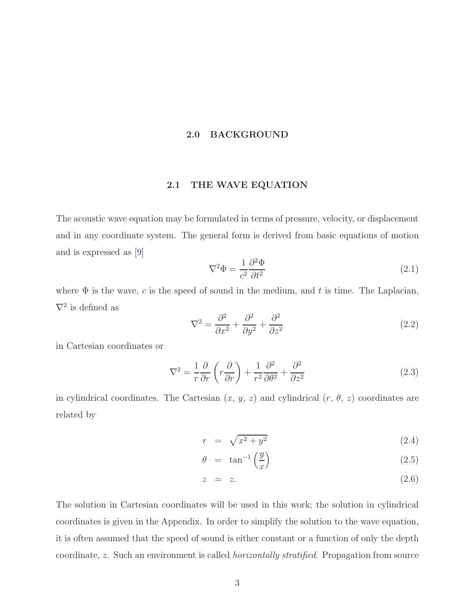#### 2.0 BACKGROUND

#### 2.1 THE WAVE EQUATION

<span id="page-11-2"></span><span id="page-11-1"></span><span id="page-11-0"></span>The acoustic wave equation may be formulated in terms of pressure, velocity, or displacement and in any coordinate system. The general form is derived from basic equations of motion and is expressed as [\[9\]](#page-70-1)

$$
\nabla^2 \Phi = \frac{1}{c^2} \frac{\partial^2 \Phi}{\partial t^2}
$$
\n(2.1)

where  $\Phi$  is the wave, c is the speed of sound in the medium, and t is time. The Laplacian,  $\nabla^2$  is defined as

$$
\nabla^2 = \frac{\partial^2}{\partial x^2} + \frac{\partial^2}{\partial y^2} + \frac{\partial^2}{\partial z^2}
$$
\n(2.2)

in Cartesian coordinates or

$$
\nabla^2 = \frac{1}{r} \frac{\partial}{\partial r} \left( r \frac{\partial}{\partial r} \right) + \frac{1}{r^2} \frac{\partial^2}{\partial \theta^2} + \frac{\partial^2}{\partial z^2}
$$
 (2.3)

in cylindrical coordinates. The Cartesian  $(x, y, z)$  and cylindrical  $(r, \theta, z)$  coordinates are related by

$$
r = \sqrt{x^2 + y^2} \tag{2.4}
$$

$$
\theta = \tan^{-1}\left(\frac{y}{x}\right) \tag{2.5}
$$

$$
z = z. \tag{2.6}
$$

The solution in Cartesian coordinates will be used in this work; the solution in cylindrical coordinates is given in the Appendix. In order to simplify the solution to the wave equation, it is often assumed that the speed of sound is either constant or a function of only the depth coordinate, z. Such an environment is called *horizontally stratified*. Propagation from source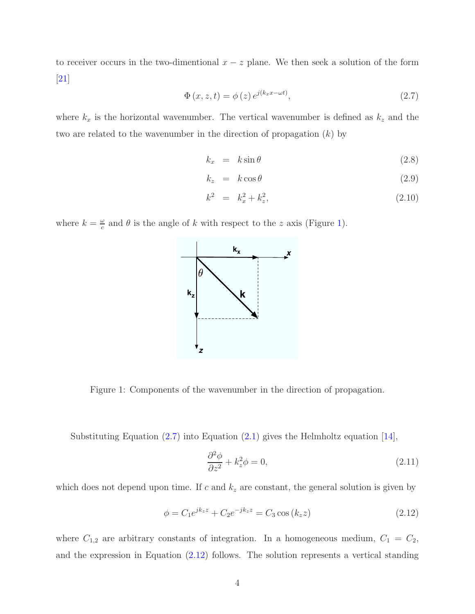<span id="page-12-1"></span>to receiver occurs in the two-dimentional  $x - z$  plane. We then seek a solution of the form  $|21|$ 

$$
\Phi(x, z, t) = \phi(z) e^{j(k_x x - \omega t)},\tag{2.7}
$$

where  $k_x$  is the horizontal wavenumber. The vertical wavenumber is defined as  $k_z$  and the two are related to the wavenumber in the direction of propagation  $(k)$  by

<span id="page-12-4"></span>
$$
k_x = k \sin \theta \tag{2.8}
$$

$$
k_z = k \cos \theta \tag{2.9}
$$

$$
k^2 = k_x^2 + k_z^2, \t\t(2.10)
$$

where  $k = \frac{\omega}{c}$  $\frac{\omega}{c}$  and  $\theta$  is the angle of k with respect to the z axis (Figure [1\)](#page-12-0).



<span id="page-12-0"></span>Figure 1: Components of the wavenumber in the direction of propagation.

Substituting Equation [\(2.7\)](#page-12-1) into Equation [\(2.1\)](#page-11-2) gives the Helmholtz equation [\[14\]](#page-71-2),

<span id="page-12-3"></span><span id="page-12-2"></span>
$$
\frac{\partial^2 \phi}{\partial z^2} + k_z^2 \phi = 0,\tag{2.11}
$$

which does not depend upon time. If  $c$  and  $k_z$  are constant, the general solution is given by

$$
\phi = C_1 e^{jk_z z} + C_2 e^{-jk_z z} = C_3 \cos(k_z z)
$$
\n(2.12)

where  $C_{1,2}$  are arbitrary constants of integration. In a homogeneous medium,  $C_1 = C_2$ , and the expression in Equation [\(2.12\)](#page-12-2) follows. The solution represents a vertical standing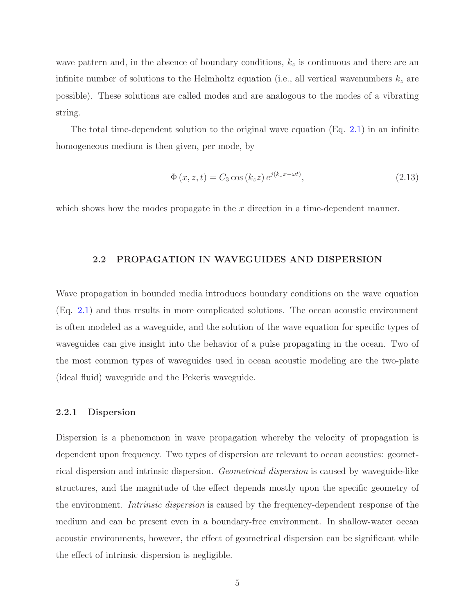wave pattern and, in the absence of boundary conditions,  $k_z$  is continuous and there are an infinite number of solutions to the Helmholtz equation (i.e., all vertical wavenumbers  $k_z$  are possible). These solutions are called modes and are analogous to the modes of a vibrating string.

The total time-dependent solution to the original wave equation (Eq. [2.1\)](#page-11-2) in an infinite homogeneous medium is then given, per mode, by

$$
\Phi(x, z, t) = C_3 \cos(k_z z) e^{j(k_x x - \omega t)},\tag{2.13}
$$

<span id="page-13-0"></span>which shows how the modes propagate in the  $x$  direction in a time-dependent manner.

#### 2.2 PROPAGATION IN WAVEGUIDES AND DISPERSION

Wave propagation in bounded media introduces boundary conditions on the wave equation (Eq. [2.1\)](#page-11-2) and thus results in more complicated solutions. The ocean acoustic environment is often modeled as a waveguide, and the solution of the wave equation for specific types of waveguides can give insight into the behavior of a pulse propagating in the ocean. Two of the most common types of waveguides used in ocean acoustic modeling are the two-plate (ideal fluid) waveguide and the Pekeris waveguide.

#### <span id="page-13-1"></span>2.2.1 Dispersion

Dispersion is a phenomenon in wave propagation whereby the velocity of propagation is dependent upon frequency. Two types of dispersion are relevant to ocean acoustics: geometrical dispersion and intrinsic dispersion. Geometrical dispersion is caused by waveguide-like structures, and the magnitude of the effect depends mostly upon the specific geometry of the environment. Intrinsic dispersion is caused by the frequency-dependent response of the medium and can be present even in a boundary-free environment. In shallow-water ocean acoustic environments, however, the effect of geometrical dispersion can be significant while the effect of intrinsic dispersion is negligible.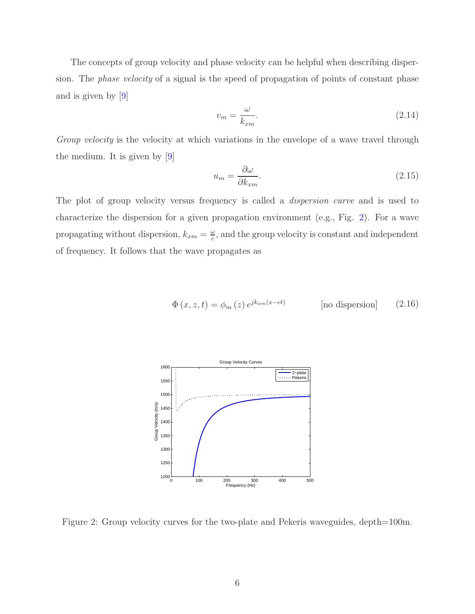The concepts of group velocity and phase velocity can be helpful when describing dispersion. The phase velocity of a signal is the speed of propagation of points of constant phase and is given by [\[9\]](#page-70-1)

$$
v_m = \frac{\omega}{k_{xm}}.\tag{2.14}
$$

Group velocity is the velocity at which variations in the envelope of a wave travel through the medium. It is given by [\[9\]](#page-70-1)

$$
u_m = \frac{\partial \omega}{\partial k_{xm}}.\tag{2.15}
$$

The plot of group velocity versus frequency is called a *dispersion curve* and is used to characterize the dispersion for a given propagation environment (e.g., Fig. [2\)](#page-14-0). For a wave propagating without dispersion,  $k_{xm} = \frac{\omega}{c}$  $\frac{\omega}{c}$ , and the group velocity is constant and independent of frequency. It follows that the wave propagates as

$$
\Phi(x, z, t) = \phi_m(z) e^{jk_{xm}(x - ct)}
$$
 [no dispersion] (2.16)



<span id="page-14-0"></span>Figure 2: Group velocity curves for the two-plate and Pekeris waveguides, depth=100m.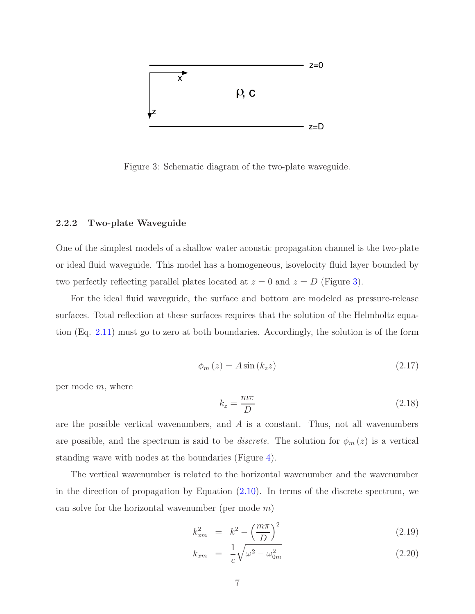

<span id="page-15-1"></span>Figure 3: Schematic diagram of the two-plate waveguide.

#### <span id="page-15-0"></span>2.2.2 Two-plate Waveguide

One of the simplest models of a shallow water acoustic propagation channel is the two-plate or ideal fluid waveguide. This model has a homogeneous, isovelocity fluid layer bounded by two perfectly reflecting parallel plates located at  $z = 0$  and  $z = D$  (Figure [3\)](#page-15-1).

<span id="page-15-3"></span>For the ideal fluid waveguide, the surface and bottom are modeled as pressure-release surfaces. Total reflection at these surfaces requires that the solution of the Helmholtz equation (Eq. [2.11\)](#page-12-3) must go to zero at both boundaries. Accordingly, the solution is of the form

$$
\phi_m(z) = A \sin(k_z z) \tag{2.17}
$$

<span id="page-15-4"></span>per mode m, where

$$
k_z = \frac{m\pi}{D} \tag{2.18}
$$

are the possible vertical wavenumbers, and  $\vec{A}$  is a constant. Thus, not all wavenumbers are possible, and the spectrum is said to be *discrete*. The solution for  $\phi_m(z)$  is a vertical standing wave with nodes at the boundaries (Figure [4\)](#page-16-0).

The vertical wavenumber is related to the horizontal wavenumber and the wavenumber in the direction of propagation by Equation  $(2.10)$ . In terms of the discrete spectrum, we can solve for the horizontal wavenumber (per mode  $m$ )

<span id="page-15-2"></span>
$$
k_{xm}^2 = k^2 - \left(\frac{m\pi}{D}\right)^2 \tag{2.19}
$$

$$
k_{xm} = \frac{1}{c} \sqrt{\omega^2 - \omega_{0m}^2}
$$
 (2.20)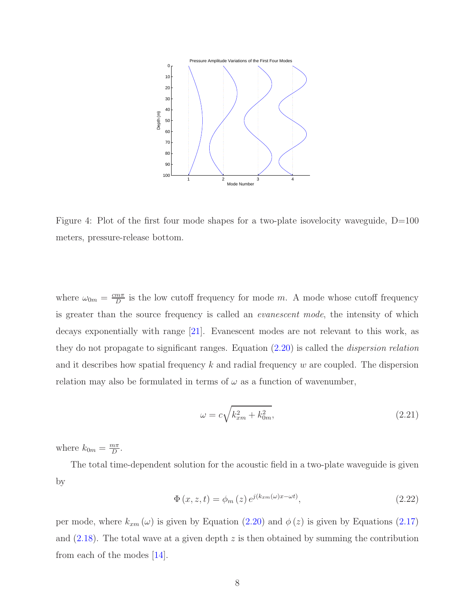

<span id="page-16-0"></span>Figure 4: Plot of the first four mode shapes for a two-plate isovelocity waveguide, D=100 meters, pressure-release bottom.

where  $\omega_{0m} = \frac{cm\pi}{D}$  $\frac{m\pi}{D}$  is the low cutoff frequency for mode m. A mode whose cutoff frequency is greater than the source frequency is called an *evanescent mode*, the intensity of which decays exponentially with range [\[21\]](#page-71-1). Evanescent modes are not relevant to this work, as they do not propagate to significant ranges. Equation  $(2.20)$  is called the *dispersion relation* and it describes how spatial frequency  $k$  and radial frequency  $w$  are coupled. The dispersion relation may also be formulated in terms of  $\omega$  as a function of wavenumber,

<span id="page-16-1"></span>
$$
\omega = c\sqrt{k_{xm}^2 + k_{0m}^2},\tag{2.21}
$$

where  $k_{0m} = \frac{m\pi}{D}$  $rac{n\pi}{D}$ .

The total time-dependent solution for the acoustic field in a two-plate waveguide is given by

$$
\Phi(x, z, t) = \phi_m(z) e^{j(k_{xm}(\omega)x - \omega t)},\tag{2.22}
$$

per mode, where  $k_{xm}(\omega)$  is given by Equation [\(2.20\)](#page-15-2) and  $\phi(z)$  is given by Equations [\(2.17\)](#page-15-3) and  $(2.18)$ . The total wave at a given depth z is then obtained by summing the contribution from each of the modes [\[14\]](#page-71-2).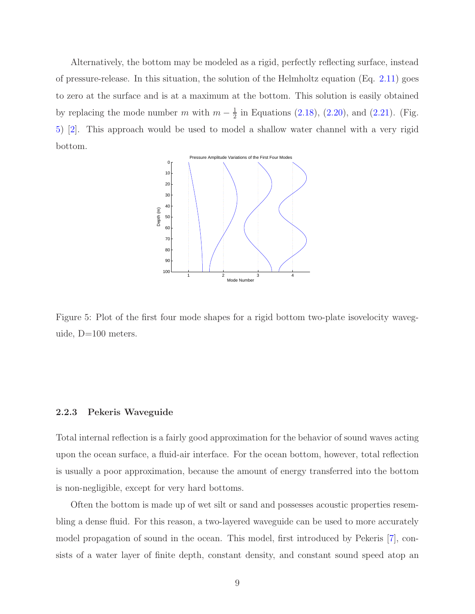Alternatively, the bottom may be modeled as a rigid, perfectly reflecting surface, instead of pressure-release. In this situation, the solution of the Helmholtz equation (Eq.  $2.11$ ) goes to zero at the surface and is at a maximum at the bottom. This solution is easily obtained by replacing the mode number m with  $m-\frac{1}{2}$  $\frac{1}{2}$  in Equations [\(2.18\)](#page-15-4), [\(2.20\)](#page-15-2), and [\(2.21\)](#page-16-1). (Fig. [5\)](#page-17-1) [\[2\]](#page-70-2). This approach would be used to model a shallow water channel with a very rigid bottom.



<span id="page-17-1"></span>Figure 5: Plot of the first four mode shapes for a rigid bottom two-plate isovelocity waveguide, D=100 meters.

#### <span id="page-17-0"></span>2.2.3 Pekeris Waveguide

Total internal reflection is a fairly good approximation for the behavior of sound waves acting upon the ocean surface, a fluid-air interface. For the ocean bottom, however, total reflection is usually a poor approximation, because the amount of energy transferred into the bottom is non-negligible, except for very hard bottoms.

Often the bottom is made up of wet silt or sand and possesses acoustic properties resembling a dense fluid. For this reason, a two-layered waveguide can be used to more accurately model propagation of sound in the ocean. This model, first introduced by Pekeris [\[7\]](#page-70-3), consists of a water layer of finite depth, constant density, and constant sound speed atop an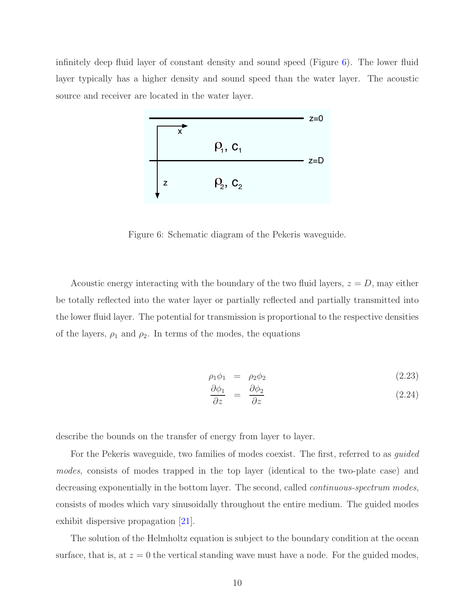infinitely deep fluid layer of constant density and sound speed (Figure [6\)](#page-18-0). The lower fluid layer typically has a higher density and sound speed than the water layer. The acoustic source and receiver are located in the water layer.



<span id="page-18-0"></span>Figure 6: Schematic diagram of the Pekeris waveguide.

Acoustic energy interacting with the boundary of the two fluid layers,  $z = D$ , may either be totally reflected into the water layer or partially reflected and partially transmitted into the lower fluid layer. The potential for transmission is proportional to the respective densities of the layers,  $\rho_1$  and  $\rho_2$ . In terms of the modes, the equations

<span id="page-18-1"></span>
$$
\rho_1 \phi_1 = \rho_2 \phi_2 \tag{2.23}
$$

$$
\frac{\partial \phi_1}{\partial z} = \frac{\partial \phi_2}{\partial z} \tag{2.24}
$$

describe the bounds on the transfer of energy from layer to layer.

For the Pekeris waveguide, two families of modes coexist. The first, referred to as *guided* modes, consists of modes trapped in the top layer (identical to the two-plate case) and decreasing exponentially in the bottom layer. The second, called *continuous-spectrum modes*, consists of modes which vary sinusoidally throughout the entire medium. The guided modes exhibit dispersive propagation [\[21\]](#page-71-1).

The solution of the Helmholtz equation is subject to the boundary condition at the ocean surface, that is, at  $z = 0$  the vertical standing wave must have a node. For the guided modes,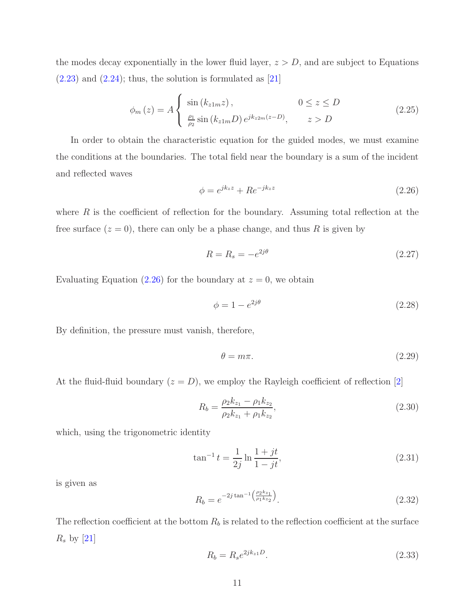the modes decay exponentially in the lower fluid layer,  $z > D$ , and are subject to Equations  $(2.23)$  and  $(2.24)$ ; thus, the solution is formulated as [\[21\]](#page-71-1)

<span id="page-19-5"></span>
$$
\phi_m(z) = A \begin{cases} \sin(k_{z1m}z), & 0 \le z \le D \\ \frac{\rho_1}{\rho_2} \sin(k_{z1m}D) e^{jk_{z2m}(z-D)}, & z > D \end{cases}
$$
(2.25)

<span id="page-19-0"></span>In order to obtain the characteristic equation for the guided modes, we must examine the conditions at the boundaries. The total field near the boundary is a sum of the incident and reflected waves

<span id="page-19-1"></span>
$$
\phi = e^{jk_z z} + R e^{-jk_z z} \tag{2.26}
$$

where  $R$  is the coefficient of reflection for the boundary. Assuming total reflection at the free surface  $(z = 0)$ , there can only be a phase change, and thus R is given by

$$
R = R_s = -e^{2j\theta} \tag{2.27}
$$

Evaluating Equation [\(2.26\)](#page-19-0) for the boundary at  $z = 0$ , we obtain

<span id="page-19-4"></span>
$$
\phi = 1 - e^{2j\theta} \tag{2.28}
$$

By definition, the pressure must vanish, therefore,

$$
\theta = m\pi. \tag{2.29}
$$

At the fluid-fluid boundary  $(z = D)$ , we employ the Rayleigh coefficient of reflection [\[2\]](#page-70-2)

$$
R_b = \frac{\rho_2 k_{z_1} - \rho_1 k_{z_2}}{\rho_2 k_{z_1} + \rho_1 k_{z_2}},\tag{2.30}
$$

which, using the trigonometric identity

$$
\tan^{-1} t = \frac{1}{2j} \ln \frac{1+jt}{1-jt},\tag{2.31}
$$

<span id="page-19-2"></span>is given as

$$
R_b = e^{-2j\tan^{-1}\left(\frac{\rho_2 k_{z_1}}{\rho_1 k_{z_2}}\right)}.
$$
\n(2.32)

<span id="page-19-3"></span>The reflection coefficient at the bottom  $R_b$  is related to the reflection coefficient at the surface  $R_s$  by [\[21\]](#page-71-1)

$$
R_b = R_s e^{2jk_{z1}D}.
$$
\n(2.33)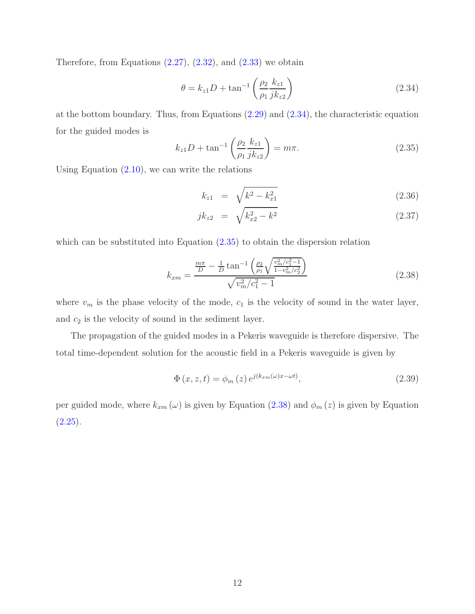Therefore, from Equations  $(2.27)$ ,  $(2.32)$ , and  $(2.33)$  we obtain

<span id="page-20-0"></span>
$$
\theta = k_{z1}D + \tan^{-1}\left(\frac{\rho_2}{\rho_1} \frac{k_{z1}}{jk_{z2}}\right)
$$
 (2.34)

<span id="page-20-1"></span>at the bottom boundary. Thus, from Equations [\(2.29\)](#page-19-4) and [\(2.34\)](#page-20-0), the characteristic equation for the guided modes is

$$
k_{z1}D + \tan^{-1}\left(\frac{\rho_2}{\rho_1} \frac{k_{z1}}{jk_{z2}}\right) = m\pi.
$$
 (2.35)

Using Equation  $(2.10)$ , we can write the relations

<span id="page-20-2"></span>
$$
k_{z1} = \sqrt{k^2 - k_{x1}^2} \tag{2.36}
$$

$$
jk_{z2} = \sqrt{k_{x2}^2 - k^2} \tag{2.37}
$$

which can be substituted into Equation  $(2.35)$  to obtain the dispersion relation

$$
k_{xm} = \frac{\frac{m\pi}{D} - \frac{1}{D}\tan^{-1}\left(\frac{\rho_2}{\rho_1}\sqrt{\frac{v_m^2/c_1^2 - 1}{1 - v_m^2/c_2^2}}\right)}{\sqrt{v_m^2/c_1^2 - 1}}
$$
(2.38)

where  $v_m$  is the phase velocity of the mode,  $c_1$  is the velocity of sound in the water layer, and  $c_2$  is the velocity of sound in the sediment layer.

The propagation of the guided modes in a Pekeris waveguide is therefore dispersive. The total time-dependent solution for the acoustic field in a Pekeris waveguide is given by

$$
\Phi(x, z, t) = \phi_m(z) e^{j(k_{xm}(\omega)x - \omega t)},\tag{2.39}
$$

per guided mode, where  $k_{xm}(\omega)$  is given by Equation [\(2.38\)](#page-20-2) and  $\phi_m(z)$  is given by Equation  $(2.25).$  $(2.25).$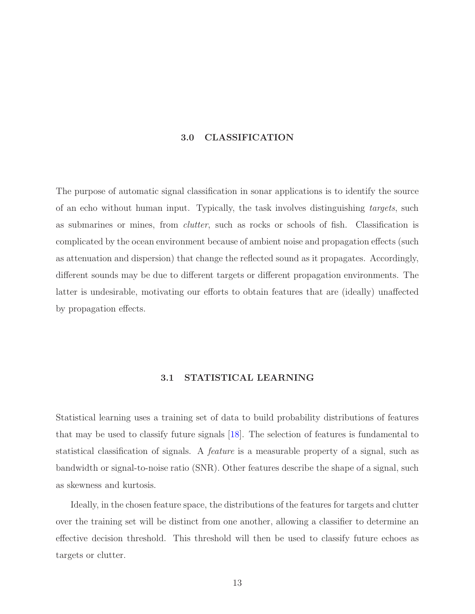#### 3.0 CLASSIFICATION

<span id="page-21-0"></span>The purpose of automatic signal classification in sonar applications is to identify the source of an echo without human input. Typically, the task involves distinguishing targets, such as submarines or mines, from clutter, such as rocks or schools of fish. Classification is complicated by the ocean environment because of ambient noise and propagation effects (such as attenuation and dispersion) that change the reflected sound as it propagates. Accordingly, different sounds may be due to different targets or different propagation environments. The latter is undesirable, motivating our efforts to obtain features that are (ideally) unaffected by propagation effects.

#### 3.1 STATISTICAL LEARNING

<span id="page-21-1"></span>Statistical learning uses a training set of data to build probability distributions of features that may be used to classify future signals [\[18\]](#page-71-3). The selection of features is fundamental to statistical classification of signals. A feature is a measurable property of a signal, such as bandwidth or signal-to-noise ratio (SNR). Other features describe the shape of a signal, such as skewness and kurtosis.

Ideally, in the chosen feature space, the distributions of the features for targets and clutter over the training set will be distinct from one another, allowing a classifier to determine an effective decision threshold. This threshold will then be used to classify future echoes as targets or clutter.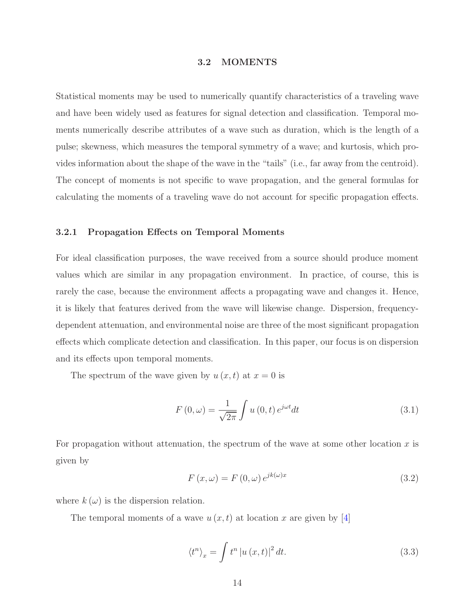#### 3.2 MOMENTS

<span id="page-22-0"></span>Statistical moments may be used to numerically quantify characteristics of a traveling wave and have been widely used as features for signal detection and classification. Temporal moments numerically describe attributes of a wave such as duration, which is the length of a pulse; skewness, which measures the temporal symmetry of a wave; and kurtosis, which provides information about the shape of the wave in the "tails" (i.e., far away from the centroid). The concept of moments is not specific to wave propagation, and the general formulas for calculating the moments of a traveling wave do not account for specific propagation effects.

#### <span id="page-22-1"></span>3.2.1 Propagation Effects on Temporal Moments

For ideal classification purposes, the wave received from a source should produce moment values which are similar in any propagation environment. In practice, of course, this is rarely the case, because the environment affects a propagating wave and changes it. Hence, it is likely that features derived from the wave will likewise change. Dispersion, frequencydependent attenuation, and environmental noise are three of the most significant propagation effects which complicate detection and classification. In this paper, our focus is on dispersion and its effects upon temporal moments.

The spectrum of the wave given by  $u(x, t)$  at  $x = 0$  is

$$
F(0,\omega) = \frac{1}{\sqrt{2\pi}} \int u(0,t) e^{j\omega t} dt
$$
\n(3.1)

<span id="page-22-2"></span>For propagation without attenuation, the spectrum of the wave at some other location  $x$  is given by

$$
F(x,\omega) = F(0,\omega)e^{jk(\omega)x}
$$
\n(3.2)

where  $k(\omega)$  is the dispersion relation.

The temporal moments of a wave  $u(x, t)$  at location x are given by [\[4\]](#page-70-4)

$$
\langle t^n \rangle_x = \int t^n \left| u(x, t) \right|^2 dt. \tag{3.3}
$$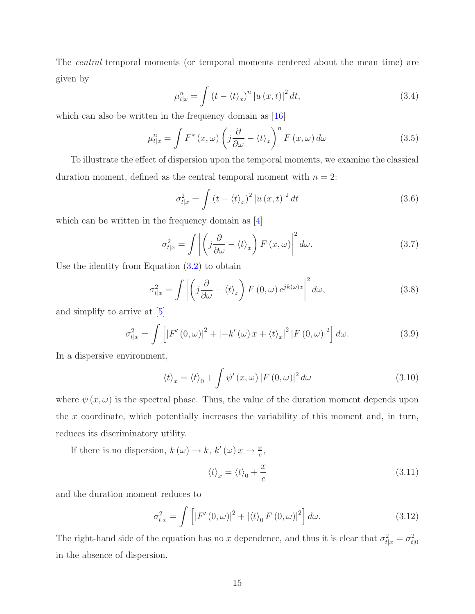The central temporal moments (or temporal moments centered about the mean time) are given by

<span id="page-23-0"></span>
$$
\mu_{t|x}^{n} = \int \left(t - \langle t \rangle_{x}\right)^{n} \left|u\left(x, t\right)\right|^{2} dt, \tag{3.4}
$$

which can also be written in the frequency domain as [\[16\]](#page-71-0)

$$
\mu_{t|x}^{n} = \int F^*(x,\omega) \left( j \frac{\partial}{\partial \omega} - \langle t \rangle_x \right)^n F(x,\omega) d\omega \tag{3.5}
$$

To illustrate the effect of dispersion upon the temporal moments, we examine the classical duration moment, defined as the central temporal moment with  $n = 2$ :

$$
\sigma_{t|x}^{2} = \int \left(t - \langle t \rangle_{x}\right)^{2} \left|u\left(x, t\right)\right|^{2} dt \tag{3.6}
$$

which can be written in the frequency domain as [\[4\]](#page-70-4)

$$
\sigma_{t|x}^{2} = \int \left| \left( j \frac{\partial}{\partial \omega} - \langle t \rangle_{x} \right) F(x, \omega) \right|^{2} d\omega. \tag{3.7}
$$

Use the identity from Equation [\(3.2\)](#page-22-2) to obtain

$$
\sigma_{t|x}^2 = \int \left| \left( j \frac{\partial}{\partial \omega} - \langle t \rangle_x \right) F(0, \omega) e^{jk(\omega)x} \right|^2 d\omega, \tag{3.8}
$$

and simplify to arrive at [\[5\]](#page-70-5)

$$
\sigma_{t|x}^{2} = \int \left[ \left| F'(0,\omega) \right|^{2} + \left| -k'(\omega) x + \langle t \rangle_{x} \right|^{2} \left| F(0,\omega) \right|^{2} \right] d\omega. \tag{3.9}
$$

In a dispersive environment,

$$
\langle t \rangle_x = \langle t \rangle_0 + \int \psi'(x, \omega) |F(0, \omega)|^2 d\omega \tag{3.10}
$$

where  $\psi(x,\omega)$  is the spectral phase. Thus, the value of the duration moment depends upon the  $x$  coordinate, which potentially increases the variability of this moment and, in turn, reduces its discriminatory utility.

If there is no dispersion,  $k(\omega) \to k$ ,  $k'(\omega) x \to \frac{x}{c}$ ,  $\langle t \rangle_x = \langle t \rangle_0 +$  $\mathcal{X}$  $\mathcal{C}$ (3.11)

and the duration moment reduces to

$$
\sigma_{t|x}^2 = \int \left[ \left| F'(0,\omega) \right|^2 + \left| \langle t \rangle_0 F(0,\omega) \right|^2 \right] d\omega. \tag{3.12}
$$

The right-hand side of the equation has no x dependence, and thus it is clear that  $\sigma_{t|x}^2 = \sigma_{t|0}^2$ in the absence of dispersion.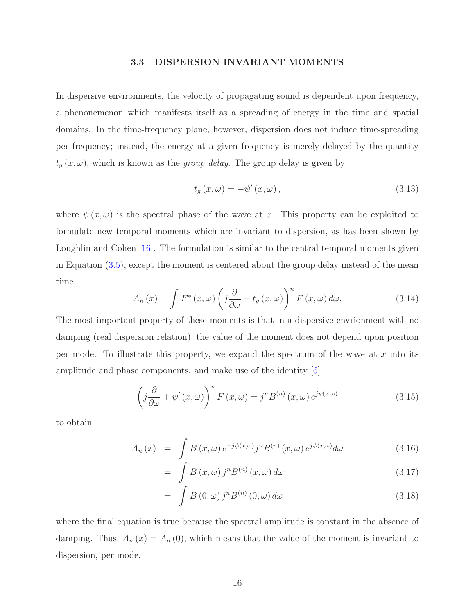#### 3.3 DISPERSION-INVARIANT MOMENTS

<span id="page-24-0"></span>In dispersive environments, the velocity of propagating sound is dependent upon frequency, a phenonemenon which manifests itself as a spreading of energy in the time and spatial domains. In the time-frequency plane, however, dispersion does not induce time-spreading per frequency; instead, the energy at a given frequency is merely delayed by the quantity  $t_g(x,\omega)$ , which is known as the *group delay*. The group delay is given by

$$
t_g(x,\omega) = -\psi'(x,\omega), \qquad (3.13)
$$

where  $\psi(x,\omega)$  is the spectral phase of the wave at x. This property can be exploited to formulate new temporal moments which are invariant to dispersion, as has been shown by Loughlin and Cohen [\[16\]](#page-71-0). The formulation is similar to the central temporal moments given in Equation [\(3.5\)](#page-23-0), except the moment is centered about the group delay instead of the mean time,

$$
A_n(x) = \int F^*(x, \omega) \left( j \frac{\partial}{\partial \omega} - t_g(x, \omega) \right)^n F(x, \omega) d\omega.
$$
 (3.14)

The most important property of these moments is that in a dispersive envrionment with no damping (real dispersion relation), the value of the moment does not depend upon position per mode. To illustrate this property, we expand the spectrum of the wave at  $x$  into its amplitude and phase components, and make use of the identity [\[6\]](#page-70-6)

$$
\left(j\frac{\partial}{\partial \omega} + \psi'(x,\omega)\right)^n F(x,\omega) = j^n B^{(n)}(x,\omega) e^{j\psi(x,\omega)}
$$
\n(3.15)

<span id="page-24-1"></span>to obtain

$$
A_n(x) = \int B(x,\omega) e^{-j\psi(x,\omega)} j^n B^{(n)}(x,\omega) e^{j\psi(x,\omega)} d\omega \qquad (3.16)
$$

$$
= \int B(x,\omega) j^n B^{(n)}(x,\omega) d\omega \tag{3.17}
$$

$$
= \int B(0,\omega) j^n B^{(n)}(0,\omega) d\omega \qquad (3.18)
$$

where the final equation is true because the spectral amplitude is constant in the absence of damping. Thus,  $A_n(x) = A_n(0)$ , which means that the value of the moment is invariant to dispersion, per mode.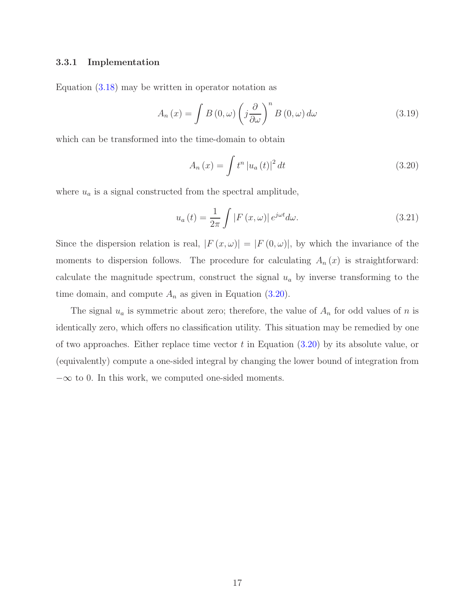#### <span id="page-25-0"></span>3.3.1 Implementation

Equation [\(3.18\)](#page-24-1) may be written in operator notation as

$$
A_n(x) = \int B(0, \omega) \left( j \frac{\partial}{\partial \omega} \right)^n B(0, \omega) d\omega \tag{3.19}
$$

which can be transformed into the time-domain to obtain

<span id="page-25-1"></span>
$$
A_n(x) = \int t^n |u_a(t)|^2 dt
$$
 (3.20)

where  $u_a$  is a signal constructed from the spectral amplitude,

$$
u_a(t) = \frac{1}{2\pi} \int |F(x,\omega)| e^{j\omega t} d\omega.
$$
 (3.21)

Since the dispersion relation is real,  $|F(x, \omega)| = |F(0, \omega)|$ , by which the invariance of the moments to dispersion follows. The procedure for calculating  $A_n(x)$  is straightforward: calculate the magnitude spectrum, construct the signal  $u_a$  by inverse transforming to the time domain, and compute  $A_n$  as given in Equation [\(3.20\)](#page-25-1).

The signal  $u_a$  is symmetric about zero; therefore, the value of  $A_n$  for odd values of n is identically zero, which offers no classification utility. This situation may be remedied by one of two approaches. Either replace time vector  $t$  in Equation  $(3.20)$  by its absolute value, or (equivalently) compute a one-sided integral by changing the lower bound of integration from  $-\infty$  to 0. In this work, we computed one-sided moments.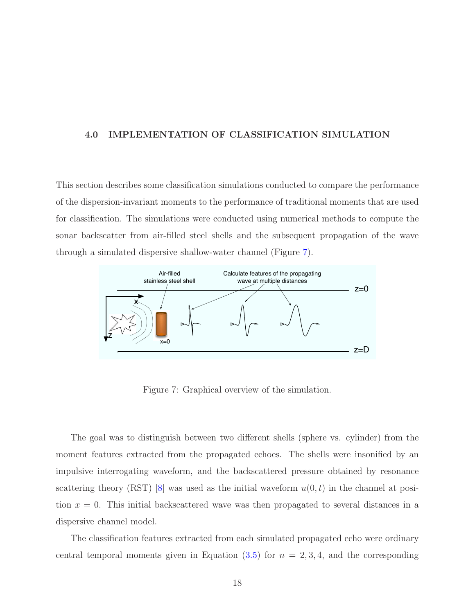#### <span id="page-26-0"></span>4.0 IMPLEMENTATION OF CLASSIFICATION SIMULATION

This section describes some classification simulations conducted to compare the performance of the dispersion-invariant moments to the performance of traditional moments that are used for classification. The simulations were conducted using numerical methods to compute the sonar backscatter from air-filled steel shells and the subsequent propagation of the wave through a simulated dispersive shallow-water channel (Figure [7\)](#page-26-1).



<span id="page-26-1"></span>Figure 7: Graphical overview of the simulation.

The goal was to distinguish between two different shells (sphere vs. cylinder) from the moment features extracted from the propagated echoes. The shells were insonified by an impulsive interrogating waveform, and the backscattered pressure obtained by resonance scattering theory (RST) [\[8\]](#page-70-7) was used as the initial waveform  $u(0, t)$  in the channel at position  $x = 0$ . This initial backscattered wave was then propagated to several distances in a dispersive channel model.

The classification features extracted from each simulated propagated echo were ordinary central temporal moments given in Equation  $(3.5)$  for  $n = 2, 3, 4$ , and the corresponding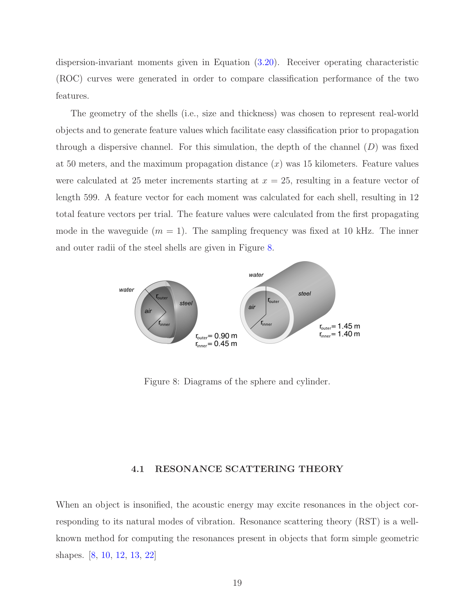dispersion-invariant moments given in Equation [\(3.20\)](#page-25-1). Receiver operating characteristic (ROC) curves were generated in order to compare classification performance of the two features.

The geometry of the shells (i.e., size and thickness) was chosen to represent real-world objects and to generate feature values which facilitate easy classification prior to propagation through a dispersive channel. For this simulation, the depth of the channel  $(D)$  was fixed at 50 meters, and the maximum propagation distance  $(x)$  was 15 kilometers. Feature values were calculated at 25 meter increments starting at  $x = 25$ , resulting in a feature vector of length 599. A feature vector for each moment was calculated for each shell, resulting in 12 total feature vectors per trial. The feature values were calculated from the first propagating mode in the waveguide  $(m = 1)$ . The sampling frequency was fixed at 10 kHz. The inner and outer radii of the steel shells are given in Figure [8.](#page-27-1)



<span id="page-27-1"></span>Figure 8: Diagrams of the sphere and cylinder.

#### 4.1 RESONANCE SCATTERING THEORY

<span id="page-27-0"></span>When an object is insonified, the acoustic energy may excite resonances in the object corresponding to its natural modes of vibration. Resonance scattering theory (RST) is a wellknown method for computing the resonances present in objects that form simple geometric shapes. [\[8,](#page-70-7) [10,](#page-70-8) [12,](#page-70-9) [13,](#page-71-4) [22\]](#page-71-5)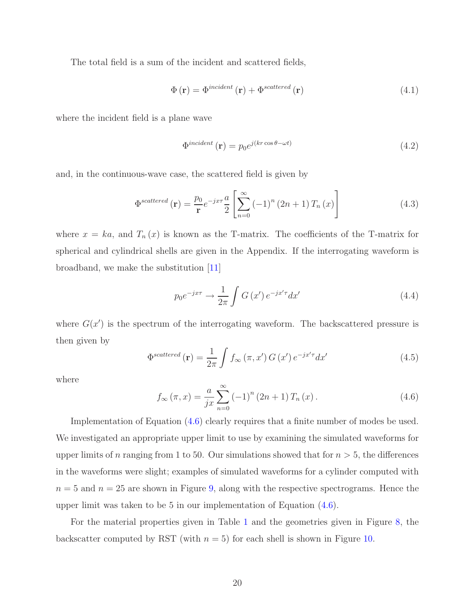The total field is a sum of the incident and scattered fields,

$$
\Phi(\mathbf{r}) = \Phi^{incident}(\mathbf{r}) + \Phi^{scattered}(\mathbf{r})
$$
\n(4.1)

where the incident field is a plane wave

$$
\Phi^{incident}(\mathbf{r}) = p_0 e^{j(kr\cos\theta - \omega t)}\tag{4.2}
$$

and, in the continuous-wave case, the scattered field is given by

$$
\Phi^{scattered}(\mathbf{r}) = \frac{p_0}{\mathbf{r}} e^{-jx\tau} \frac{a}{2} \left[ \sum_{n=0}^{\infty} \left( -1 \right)^n (2n+1) T_n(x) \right] \tag{4.3}
$$

where  $x = ka$ , and  $T_n(x)$  is known as the T-matrix. The coefficients of the T-matrix for spherical and cylindrical shells are given in the Appendix. If the interrogating waveform is broadband, we make the substitution [\[11\]](#page-70-10)

$$
p_0 e^{-j x \tau} \to \frac{1}{2\pi} \int G(x') e^{-j x' \tau} dx'
$$
\n(4.4)

where  $G(x')$  is the spectrum of the interrogating waveform. The backscattered pressure is then given by

$$
\Phi^{scattered}(\mathbf{r}) = \frac{1}{2\pi} \int f_{\infty}(\pi, x') G(x') e^{-j x' \tau} dx'
$$
\n(4.5)

<span id="page-28-0"></span>where

$$
f_{\infty}(\pi, x) = \frac{a}{jx} \sum_{n=0}^{\infty} (-1)^n (2n+1) T_n(x).
$$
 (4.6)

Implementation of Equation [\(4.6\)](#page-28-0) clearly requires that a finite number of modes be used. We investigated an appropriate upper limit to use by examining the simulated waveforms for upper limits of n ranging from 1 to 50. Our simulations showed that for  $n > 5$ , the differences in the waveforms were slight; examples of simulated waveforms for a cylinder computed with  $n = 5$  and  $n = 25$  are shown in Figure [9,](#page-29-1) along with the respective spectrograms. Hence the upper limit was taken to be 5 in our implementation of Equation [\(4.6\)](#page-28-0).

For the material properties given in Table [1](#page-29-0) and the geometries given in Figure [8,](#page-27-1) the backscatter computed by RST (with  $n = 5$ ) for each shell is shown in Figure [10.](#page-30-2)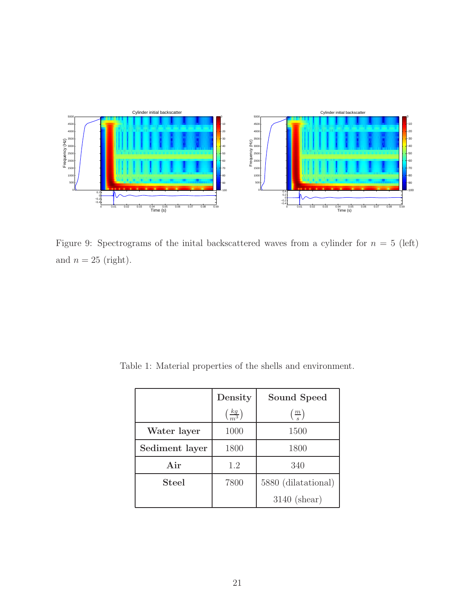

<span id="page-29-1"></span>Figure 9: Spectrograms of the inital backscattered waves from a cylinder for  $n = 5$  (left) and  $n=25$  (right).

<span id="page-29-0"></span>Table 1: Material properties of the shells and environment.

|                | Density                       | Sound Speed                |
|----------------|-------------------------------|----------------------------|
|                | $\left(\frac{kg}{m^3}\right)$ | $\left(\frac{m}{s}\right)$ |
| Water layer    | 1000                          | 1500                       |
| Sediment layer | 1800                          | 1800                       |
| Air            | 1.2                           | 340                        |
| <b>Steel</b>   | 7800                          | 5880 (dilatational)        |
|                |                               | $3140$ (shear)             |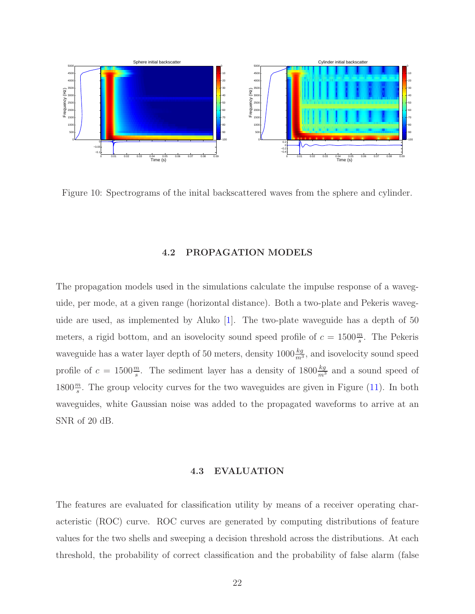

<span id="page-30-2"></span><span id="page-30-0"></span>Figure 10: Spectrograms of the inital backscattered waves from the sphere and cylinder.

#### 4.2 PROPAGATION MODELS

The propagation models used in the simulations calculate the impulse response of a waveguide, per mode, at a given range (horizontal distance). Both a two-plate and Pekeris waveguide are used, as implemented by Aluko [\[1\]](#page-70-11). The two-plate waveguide has a depth of 50 meters, a rigid bottom, and an isovelocity sound speed profile of  $c = 1500 \frac{m}{s}$ . The Pekeris waveguide has a water layer depth of 50 meters, density  $1000 \frac{kg}{m^3}$ , and isovelocity sound speed profile of  $c = 1500 \frac{m}{s}$ . The sediment layer has a density of  $1800 \frac{kg}{m^3}$  and a sound speed of 1800 $\frac{m}{s}$ . The group velocity curves for the two waveguides are given in Figure [\(11\)](#page-31-1). In both waveguides, white Gaussian noise was added to the propagated waveforms to arrive at an SNR of 20 dB.

#### 4.3 EVALUATION

<span id="page-30-1"></span>The features are evaluated for classification utility by means of a receiver operating characteristic (ROC) curve. ROC curves are generated by computing distributions of feature values for the two shells and sweeping a decision threshold across the distributions. At each threshold, the probability of correct classification and the probability of false alarm (false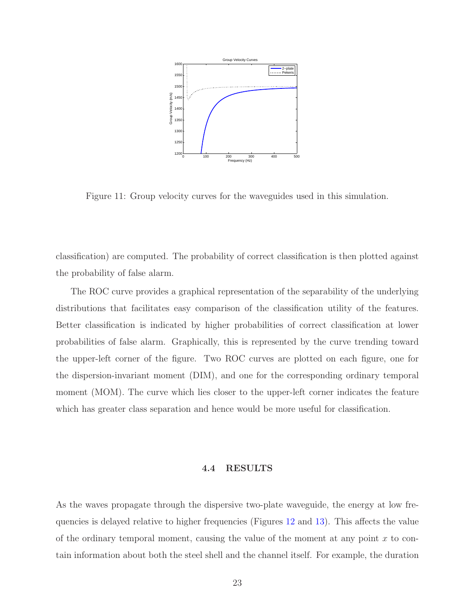

<span id="page-31-1"></span>Figure 11: Group velocity curves for the waveguides used in this simulation.

classification) are computed. The probability of correct classification is then plotted against the probability of false alarm.

The ROC curve provides a graphical representation of the separability of the underlying distributions that facilitates easy comparison of the classification utility of the features. Better classification is indicated by higher probabilities of correct classification at lower probabilities of false alarm. Graphically, this is represented by the curve trending toward the upper-left corner of the figure. Two ROC curves are plotted on each figure, one for the dispersion-invariant moment (DIM), and one for the corresponding ordinary temporal moment (MOM). The curve which lies closer to the upper-left corner indicates the feature which has greater class separation and hence would be more useful for classification.

#### 4.4 RESULTS

<span id="page-31-0"></span>As the waves propagate through the dispersive two-plate waveguide, the energy at low frequencies is delayed relative to higher frequencies (Figures [12](#page-32-0) and [13\)](#page-32-1). This affects the value of the ordinary temporal moment, causing the value of the moment at any point  $x$  to contain information about both the steel shell and the channel itself. For example, the duration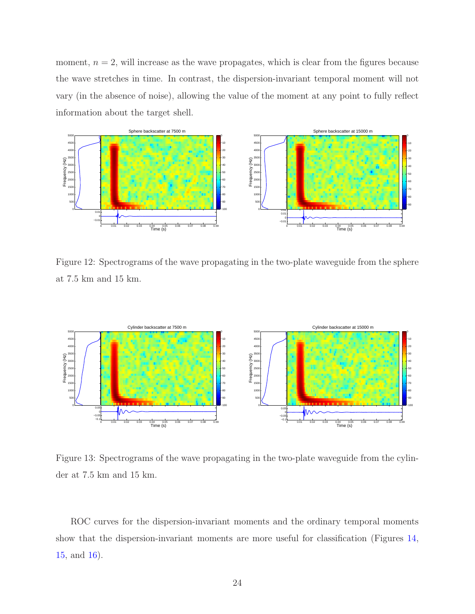moment,  $n = 2$ , will increase as the wave propagates, which is clear from the figures because the wave stretches in time. In contrast, the dispersion-invariant temporal moment will not vary (in the absence of noise), allowing the value of the moment at any point to fully reflect information about the target shell.



<span id="page-32-0"></span>Figure 12: Spectrograms of the wave propagating in the two-plate waveguide from the sphere at 7.5 km and 15 km.



<span id="page-32-1"></span>Figure 13: Spectrograms of the wave propagating in the two-plate waveguide from the cylinder at 7.5 km and 15 km.

ROC curves for the dispersion-invariant moments and the ordinary temporal moments show that the dispersion-invariant moments are more useful for classification (Figures [14,](#page-33-0) [15,](#page-33-1) and [16\)](#page-34-0).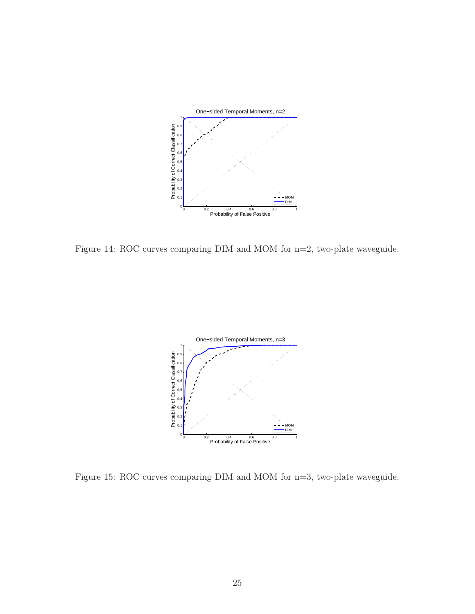

<span id="page-33-0"></span>Figure 14: ROC curves comparing DIM and MOM for n=2, two-plate waveguide.



<span id="page-33-1"></span>Figure 15: ROC curves comparing DIM and MOM for n=3, two-plate waveguide.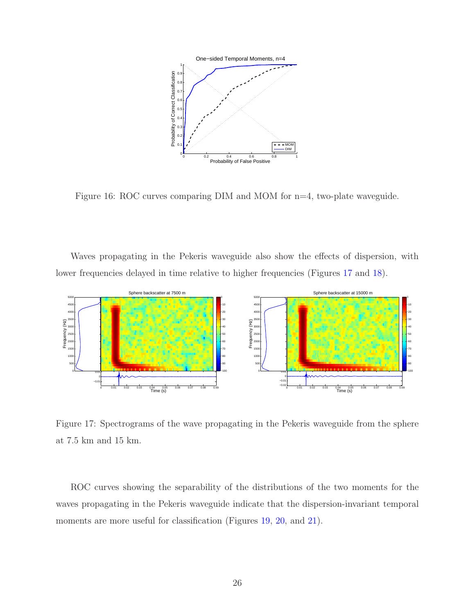

<span id="page-34-0"></span>Figure 16: ROC curves comparing DIM and MOM for n=4, two-plate waveguide.

Waves propagating in the Pekeris waveguide also show the effects of dispersion, with lower frequencies delayed in time relative to higher frequencies (Figures [17](#page-34-1) and [18\)](#page-35-0).



<span id="page-34-1"></span>Figure 17: Spectrograms of the wave propagating in the Pekeris waveguide from the sphere at 7.5 km and 15 km.

ROC curves showing the separability of the distributions of the two moments for the waves propagating in the Pekeris waveguide indicate that the dispersion-invariant temporal moments are more useful for classification (Figures [19,](#page-35-1) [20,](#page-36-0) and [21\)](#page-36-1).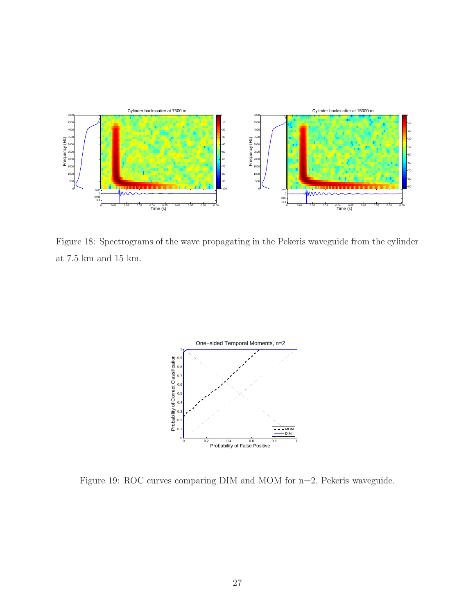

<span id="page-35-0"></span>Figure 18: Spectrograms of the wave propagating in the Pekeris waveguide from the cylinder at 7.5 km and 15 km.  $\,$ 



<span id="page-35-1"></span>Figure 19: ROC curves comparing DIM and MOM for n=2, Pekeris waveguide.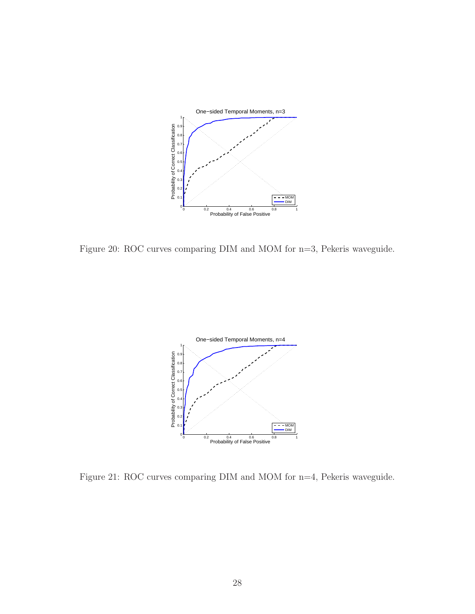

Figure 20: ROC curves comparing DIM and MOM for n=3, Pekeris waveguide.



Figure 21: ROC curves comparing DIM and MOM for n=4, Pekeris waveguide.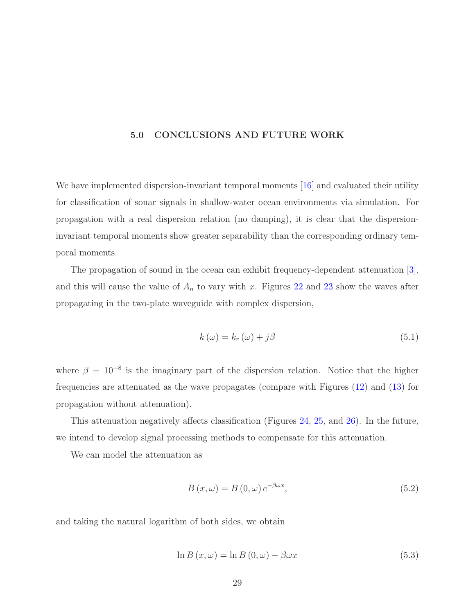#### 5.0 CONCLUSIONS AND FUTURE WORK

We have implemented dispersion-invariant temporal moments [\[16\]](#page-71-0) and evaluated their utility for classification of sonar signals in shallow-water ocean environments via simulation. For propagation with a real dispersion relation (no damping), it is clear that the dispersioninvariant temporal moments show greater separability than the corresponding ordinary temporal moments.

The propagation of sound in the ocean can exhibit frequency-dependent attenuation [\[3\]](#page-70-0), and this will cause the value of  $A_n$  to vary with x. Figures [22](#page-38-0) and [23](#page-38-1) show the waves after propagating in the two-plate waveguide with complex dispersion,

$$
k(\omega) = k_r(\omega) + j\beta \tag{5.1}
$$

where  $\beta = 10^{-8}$  is the imaginary part of the dispersion relation. Notice that the higher frequencies are attenuated as the wave propagates (compare with Figures [\(12\)](#page-32-0) and [\(13\)](#page-32-1) for propagation without attenuation).

This attenuation negatively affects classification (Figures [24,](#page-39-0) [25,](#page-39-1) and [26\)](#page-40-0). In the future, we intend to develop signal processing methods to compensate for this attenuation.

We can model the attenuation as

$$
B(x,\omega) = B(0,\omega)e^{-\beta\omega x},\qquad(5.2)
$$

and taking the natural logarithm of both sides, we obtain

$$
\ln B\left(x,\omega\right) = \ln B\left(0,\omega\right) - \beta\omega x\tag{5.3}
$$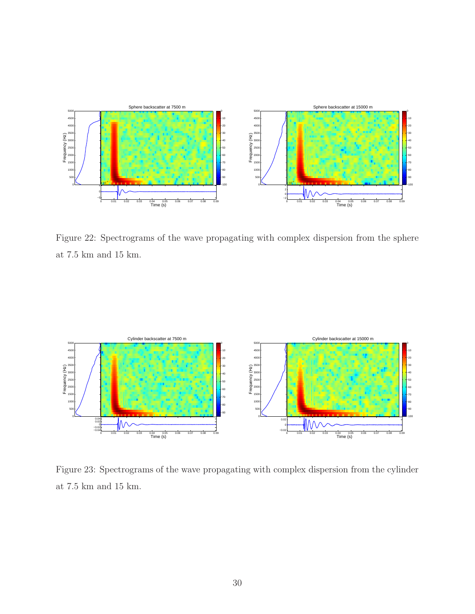

<span id="page-38-0"></span>Figure 22: Spectrograms of the wave propagating with complex dispersion from the sphere at 7.5 km and 15 km.  $\,$ 



<span id="page-38-1"></span>Figure 23: Spectrograms of the wave propagating with complex dispersion from the cylinder at 7.5 km and 15 km.  $\,$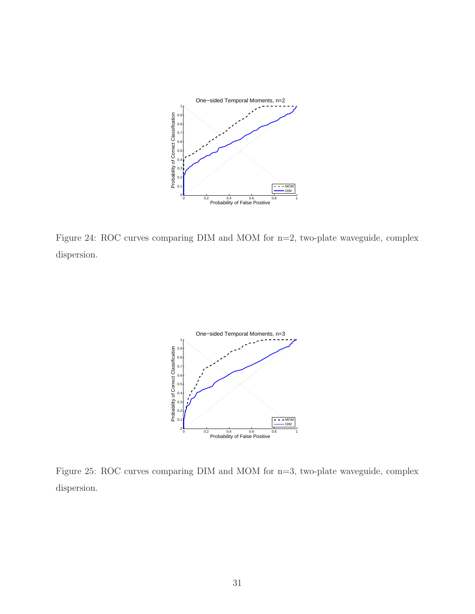

<span id="page-39-0"></span>Figure 24: ROC curves comparing DIM and MOM for n=2, two-plate waveguide, complex dispersion.



<span id="page-39-1"></span>Figure 25: ROC curves comparing DIM and MOM for n=3, two-plate waveguide, complex dispersion.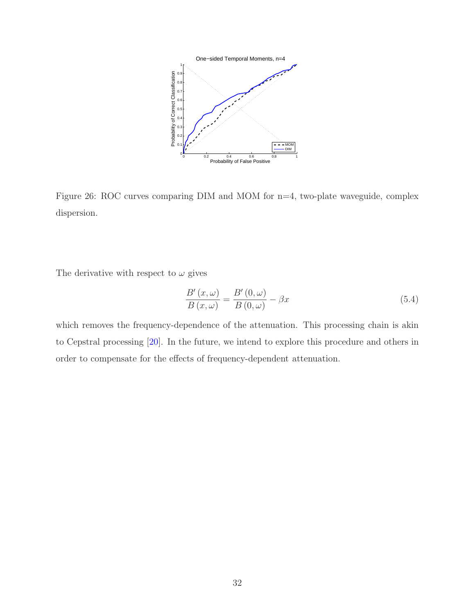

<span id="page-40-0"></span>Figure 26: ROC curves comparing DIM and MOM for n=4, two-plate waveguide, complex dispersion.

The derivative with respect to  $\omega$  gives

$$
\frac{B'(x,\omega)}{B(x,\omega)} = \frac{B'(0,\omega)}{B(0,\omega)} - \beta x\tag{5.4}
$$

which removes the frequency-dependence of the attenuation. This processing chain is akin to Cepstral processing [\[20\]](#page-71-1). In the future, we intend to explore this procedure and others in order to compensate for the effects of frequency-dependent attenuation.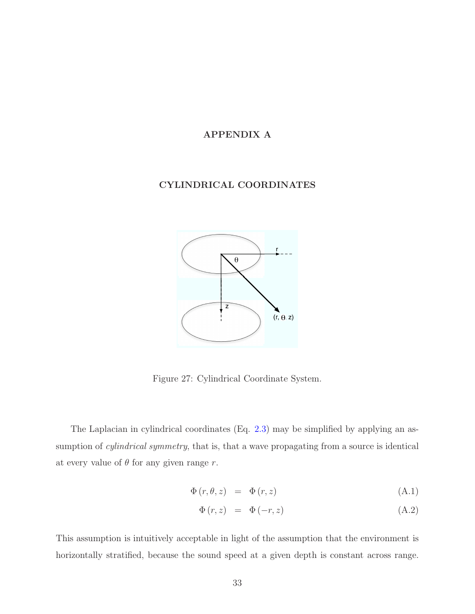## APPENDIX A

## CYLINDRICAL COORDINATES



Figure 27: Cylindrical Coordinate System.

The Laplacian in cylindrical coordinates (Eq. [2.3\)](#page-11-0) may be simplified by applying an assumption of *cylindrical symmetry*, that is, that a wave propagating from a source is identical at every value of  $\theta$  for any given range r.

$$
\Phi(r, \theta, z) = \Phi(r, z) \tag{A.1}
$$

$$
\Phi(r, z) = \Phi(-r, z) \tag{A.2}
$$

This assumption is intuitively acceptable in light of the assumption that the environment is horizontally stratified, because the sound speed at a given depth is constant across range.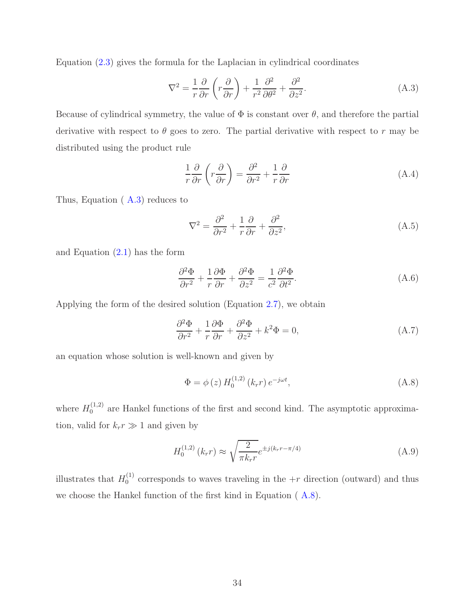Equation [\(2.3\)](#page-11-0) gives the formula for the Laplacian in cylindrical coordinates

<span id="page-42-0"></span>
$$
\nabla^2 = \frac{1}{r} \frac{\partial}{\partial r} \left( r \frac{\partial}{\partial r} \right) + \frac{1}{r^2} \frac{\partial^2}{\partial \theta^2} + \frac{\partial^2}{\partial z^2}.
$$
 (A.3)

Because of cylindrical symmetry, the value of  $\Phi$  is constant over  $\theta$ , and therefore the partial derivative with respect to  $\theta$  goes to zero. The partial derivative with respect to r may be distributed using the product rule

$$
\frac{1}{r}\frac{\partial}{\partial r}\left(r\frac{\partial}{\partial r}\right) = \frac{\partial^2}{\partial r^2} + \frac{1}{r}\frac{\partial}{\partial r}
$$
\n(A.4)

Thus, Equation ( [A.3\)](#page-42-0) reduces to

$$
\nabla^2 = \frac{\partial^2}{\partial r^2} + \frac{1}{r} \frac{\partial}{\partial r} + \frac{\partial^2}{\partial z^2},\tag{A.5}
$$

and Equation  $(2.1)$  has the form

$$
\frac{\partial^2 \Phi}{\partial r^2} + \frac{1}{r} \frac{\partial \Phi}{\partial r} + \frac{\partial^2 \Phi}{\partial z^2} = \frac{1}{c^2} \frac{\partial^2 \Phi}{\partial t^2}.
$$
 (A.6)

Applying the form of the desired solution (Equation [2.7\)](#page-12-0), we obtain

<span id="page-42-1"></span>
$$
\frac{\partial^2 \Phi}{\partial r^2} + \frac{1}{r} \frac{\partial \Phi}{\partial r} + \frac{\partial^2 \Phi}{\partial z^2} + k^2 \Phi = 0,
$$
 (A.7)

an equation whose solution is well-known and given by

$$
\Phi = \phi(z) H_0^{(1,2)}(k_r r) e^{-j\omega t}, \qquad (A.8)
$$

where  $H_0^{(1,2)}$  $_{0}^{(1,2)}$  are Hankel functions of the first and second kind. The asymptotic approximation, valid for  $k_r r \gg 1$  and given by

$$
H_0^{(1,2)}\left(k_r r\right) \approx \sqrt{\frac{2}{\pi k_r r}} e^{\pm j(k_r r - \pi/4)}\tag{A.9}
$$

illustrates that  $H_0^{(1)}$  $_0^{(1)}$  corresponds to waves traveling in the  $+r$  direction (outward) and thus we choose the Hankel function of the first kind in Equation ( [A.8\)](#page-42-1).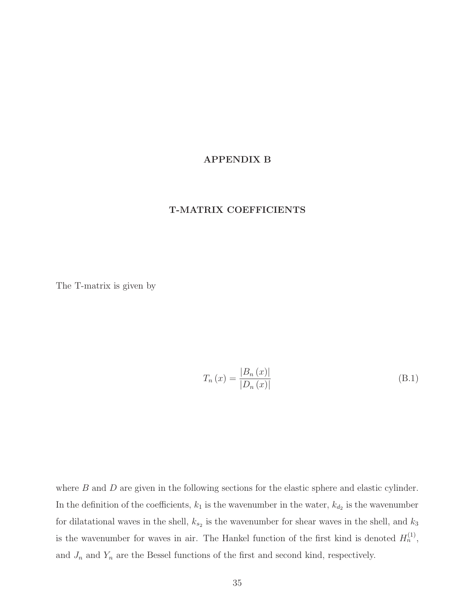#### APPENDIX B

#### T-MATRIX COEFFICIENTS

The T-matrix is given by

$$
T_n(x) = \frac{|B_n(x)|}{|D_n(x)|}
$$
\n(B.1)

where  $B$  and  $D$  are given in the following sections for the elastic sphere and elastic cylinder. In the definition of the coefficients,  $k_1$  is the wavenumber in the water,  $k_{d_2}$  is the wavenumber for dilatational waves in the shell,  $k_{s_2}$  is the wavenumber for shear waves in the shell, and  $k_3$ is the wavenumber for waves in air. The Hankel function of the first kind is denoted  $H_n^{(1)}$ , and  $J_n$  and  $Y_n$  are the Bessel functions of the first and second kind, respectively.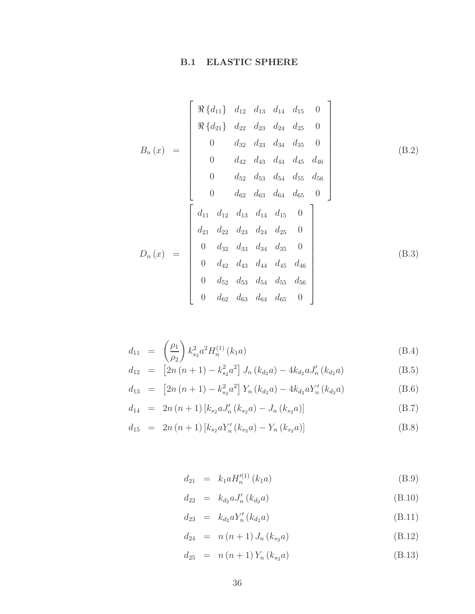# B.1 ELASTIC SPHERE

$$
B_n(x) = \begin{bmatrix} \Re \{d_{11}\} & d_{12} & d_{13} & d_{14} & d_{15} & 0 \\ \Re \{d_{21}\} & d_{22} & d_{23} & d_{24} & d_{25} & 0 \\ 0 & d_{32} & d_{33} & d_{34} & d_{35} & 0 \\ 0 & d_{42} & d_{43} & d_{44} & d_{45} & d_{46} \\ 0 & d_{52} & d_{53} & d_{54} & d_{55} & d_{56} \\ 0 & d_{62} & d_{63} & d_{64} & d_{65} & 0 \end{bmatrix}
$$
(B.2)  

$$
D_n(x) = \begin{bmatrix} d_{11} & d_{12} & d_{13} & d_{14} & d_{15} & 0 \\ d_{21} & d_{22} & d_{23} & d_{24} & d_{25} & 0 \\ 0 & d_{32} & d_{33} & d_{34} & d_{35} & 0 \\ 0 & d_{42} & d_{43} & d_{44} & d_{45} & d_{46} \\ 0 & d_{52} & d_{53} & d_{54} & d_{55} & d_{56} \\ 0 & d_{62} & d_{63} & d_{64} & d_{65} & 0 \end{bmatrix}
$$
(B.3)

$$
d_{11} = \left(\frac{\rho_1}{\rho_2}\right) k_{s_2}^2 a^2 H_n^{(1)}\left(k_1 a\right) \tag{B.4}
$$

$$
d_{12} = [2n(n+1) - k_{s_2}^2 a^2] J_n(k_{d_2}a) - 4k_{d_2} a J'_n(k_{d_2}a)
$$
 (B.5)

$$
d_{13} = [2n(n+1) - k_{s_2}^2 a^2] Y_n(k_{d_2}a) - 4k_{d_2} a Y'_n(k_{d_2}a)
$$
 (B.6)

$$
d_{14} = 2n(n+1) [k_{s2} a J'_n(k_{s2} a) - J_n(k_{s2} a)] \tag{B.7}
$$

$$
d_{15} = 2n(n+1) [k_{s_2} a Y'_n(k_{s_2} a) - Y_n(k_{s_2} a)] \tag{B.8}
$$

$$
d_{21} = k_1 a H_n^{\prime(1)}(k_1 a) \tag{B.9}
$$

$$
d_{22} = k_{d_2} a J'_n (k_{d_2} a) \tag{B.10}
$$

$$
d_{23} = k_{d_2} a Y'_n (k_{d_2} a) \tag{B.11}
$$

$$
d_{24} = n(n+1) J_n(k_{s_2} a)
$$
 (B.12)

$$
d_{25} = n(n+1)Y_n(k_{s_2}a)
$$
 (B.13)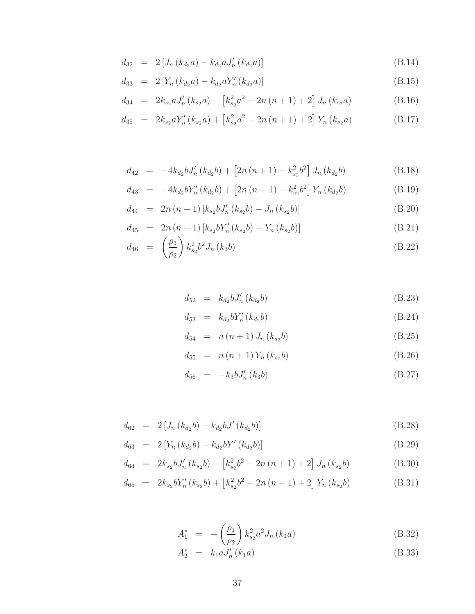$$
d_{32} = 2 [J_n (k_{d_2} a) - k_{d_2} a J'_n (k_{d_2} a)] \tag{B.14}
$$

$$
d_{33} = 2 \left[ Y_n \left( k_{d_2} a \right) - k_{d_2} a Y'_n \left( k_{d_2} a \right) \right]
$$
 (B.15)

$$
d_{34} = 2k_{s_2}aJ'_n(k_{s_2}a) + [k_{s_2}^2a^2 - 2n(n+1) + 2]J_n(k_{s_2}a)
$$
 (B.16)

$$
d_{35} = 2k_{s_2}aY'_n(k_{s_2}a) + [k_{s_2}^2a^2 - 2n(n+1) + 2]Y_n(k_{s_2}a)
$$
 (B.17)

$$
d_{42} = -4k_{d_2}bJ'_n(k_{d_2}b) + [2n(n+1) - k_{s_2}^2b^2]J_n(k_{d_2}b)
$$
 (B.18)

$$
d_{43} = -4k_{d_2}bY'_n(k_{d_2}b) + [2n(n+1) - k_{s_2}^2b^2]Y_n(k_{d_2}b)
$$
 (B.19)

$$
d_{44} = 2n(n+1) [k_{s_2} b J'_n(k_{s_2} b) - J_n(k_{s_2} b)]
$$
 (B.20)

$$
d_{45} = 2n (n+1) [k_{s_2} b Y'_n (k_{s_2} b) - Y_n (k_{s_2} b)] \tag{B.21}
$$

$$
d_{46} = \left(\frac{\rho_3}{\rho_2}\right) k_{s_2}^2 b^2 J_n(k_3 b) \tag{B.22}
$$

$$
d_{52} = k_{d_2} b J'_n (k_{d_2} b) \tag{B.23}
$$

$$
d_{53} = k_{d_2} b Y'_n (k_{d_2} b) \tag{B.24}
$$

$$
d_{54} = n (n + 1) J_n (k_{s2} b)
$$
 (B.25)

$$
d_{55} = n (n+1) Y_n (k_{s_2} b)
$$
 (B.26)

$$
d_{56} = -k_3 b J'_n (k_3 b) \tag{B.27}
$$

$$
d_{62} = 2 [J_n (k_{d_2}b) - k_{d_2}bJ' (k_{d_2}b)] \tag{B.28}
$$

$$
d_{63} = 2 \left[ Y_n \left( k_{d_2} b \right) - k_{d_2} b Y' \left( k_{d_2} b \right) \right]
$$
 (B.29)

$$
d_{64} = 2k_{s_2}bJ'_n(k_{s_2}b) + [k_{s_2}^2b^2 - 2n(n+1) + 2]J_n(k_{s_2}b)
$$
 (B.30)

$$
d_{65} = 2k_{s2}bY'_{n}(k_{s2}b) + [k_{s2}^{2}b^{2} - 2n(n+1) + 2]Y_{n}(k_{s2}b)
$$
 (B.31)

$$
A_1^* = -\left(\frac{\rho_1}{\rho_2}\right) k_{s_2}^2 a^2 J_n(k_1 a) \tag{B.32}
$$

$$
A_2^* = k_1 a J'_n(k_1 a) \tag{B.33}
$$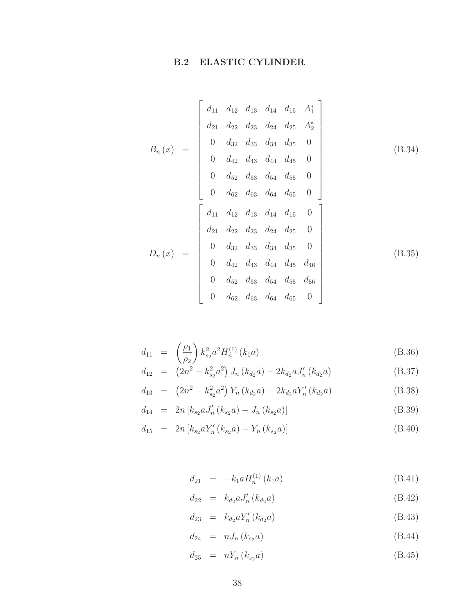# **B.2 ELASTIC CYLINDER**

$$
B_n(x) = \begin{bmatrix} d_{11} & d_{12} & d_{13} & d_{14} & d_{15} & A_1^* \\ d_{21} & d_{22} & d_{23} & d_{24} & d_{25} & A_2^* \\ 0 & d_{32} & d_{33} & d_{34} & d_{35} & 0 \\ 0 & d_{42} & d_{43} & d_{44} & d_{45} & 0 \\ 0 & d_{52} & d_{53} & d_{54} & d_{55} & 0 \\ 0 & d_{62} & d_{63} & d_{64} & d_{65} & 0 \end{bmatrix}
$$
(B.34)  

$$
D_n(x) = \begin{bmatrix} d_{11} & d_{12} & d_{13} & d_{14} & d_{15} & 0 \\ d_{21} & d_{22} & d_{23} & d_{24} & d_{25} & 0 \\ 0 & d_{32} & d_{33} & d_{34} & d_{35} & 0 \\ 0 & d_{42} & d_{43} & d_{44} & d_{45} & d_{46} \\ 0 & d_{52} & d_{53} & d_{54} & d_{55} & d_{56} \\ 0 & d_{62} & d_{63} & d_{64} & d_{65} & 0 \end{bmatrix}
$$
(B.35)

$$
d_{11} = \left(\frac{\rho_1}{\rho_2}\right) k_{s_2}^2 a^2 H_n^{(1)}\left(k_1 a\right) \tag{B.36}
$$

$$
d_{12} = (2n^2 - k_{s_2}^2 a^2) J_n(k_{d_2} a) - 2k_{d_2} a J'_n(k_{d_2} a)
$$
 (B.37)

$$
d_{13} = (2n^2 - k_{s_2}^2 a^2) Y_n (k_{d_2} a) - 2k_{d_2} a Y'_n (k_{d_2} a)
$$
 (B.38)

$$
d_{14} = 2n [k_{s_2} a J'_n (k_{s_2} a) - J_n (k_{s_2} a)] \tag{B.39}
$$

$$
d_{15} = 2n [k_{s_2} a Y'_n (k_{s_2} a) - Y_n (k_{s_2} a)] \tag{B.40}
$$

$$
d_{21} = -k_1 a H_n^{(1)}(k_1 a) \tag{B.41}
$$

$$
d_{22} = k_{d_2} a J'_n (k_{d_2} a) \tag{B.42}
$$

$$
d_{23} = k_{d_2} a Y'_n (k_{d_2} a) \tag{B.43}
$$

$$
d_{24} = nJ_n(k_{s_2}a) \tag{B.44}
$$

$$
d_{25} = nY_n(k_{s_2}a) \t\t (B.45)
$$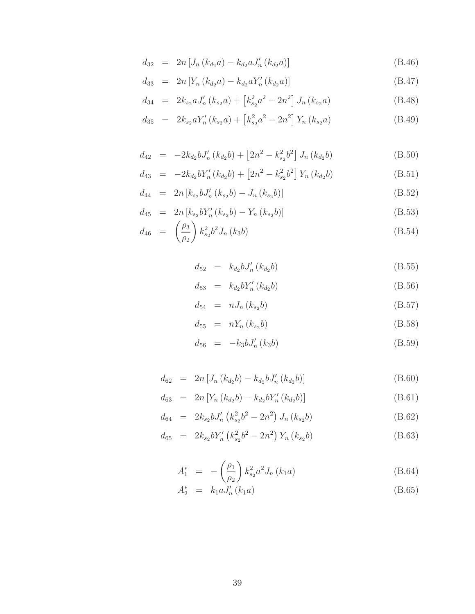$$
d_{32} = 2n [J_n (k_{d_2} a) - k_{d_2} a J'_n (k_{d_2} a)] \qquad (B.46)
$$

$$
d_{33} = 2n \left[ Y_n \left( k_{d_2} a \right) - k_{d_2} a Y'_n \left( k_{d_2} a \right) \right]
$$
\n(B.47)

$$
d_{34} = 2k_{s_2}aJ'_n(k_{s_2}a) + [k_{s_2}^2a^2 - 2n^2]J_n(k_{s_2}a)
$$
 (B.48)

$$
d_{35} = 2k_{s_2}aY'_n(k_{s_2}a) + [k_{s_2}^2a^2 - 2n^2]Y_n(k_{s_2}a)
$$
 (B.49)

$$
d_{42} = -2k_{d_2}bJ'_n(k_{d_2}b) + [2n^2 - k_{s_2}^2b^2]J_n(k_{d_2}b)
$$
 (B.50)

$$
d_{43} = -2k_{d_2}bY'_n(k_{d_2}b) + [2n^2 - k_{s_2}^2b^2]Y_n(k_{d_2}b)
$$
 (B.51)

$$
d_{44} = 2n [k_{s_2} b J'_n (k_{s_2} b) - J_n (k_{s_2} b)] \tag{B.52}
$$

$$
d_{45} = 2n [k_{s_2} b Y'_n(k_{s_2} b) - Y_n(k_{s_2} b)] \tag{B.53}
$$

$$
d_{46} = \left(\frac{\rho_3}{\rho_2}\right) k_{s_2}^2 b^2 J_n(k_3 b) \tag{B.54}
$$

$$
d_{52} = k_{d_2} b J'_n (k_{d_2} b) \tag{B.55}
$$

$$
d_{53} = k_{d_2} b Y'_n (k_{d_2} b) \tag{B.56}
$$

$$
d_{54} = nJ_n(k_{s_2}b) \tag{B.57}
$$

$$
d_{55} = nY_n(k_{s_2}b) \t\t (B.58)
$$

$$
d_{56} = -k_3 b J'_n (k_3 b) \tag{B.59}
$$

$$
d_{62} = 2n [J_n (k_{d_2}b) - k_{d_2}b J'_n (k_{d_2}b)] \qquad (B.60)
$$

$$
d_{63} = 2n \left[ Y_n \left( k_{d_2} b \right) - k_{d_2} b Y'_n \left( k_{d_2} b \right) \right]
$$
 (B.61)

$$
d_{64} = 2k_{s2}bJ'_{n} \left(k_{s2}^{2}b^{2} - 2n^{2}\right)J_{n} \left(k_{s2}b\right)
$$
 (B.62)

$$
d_{65} = 2k_{s_2}bY'_n(k_{s_2}^2b^2 - 2n^2)Y_n(k_{s_2}b)
$$
 (B.63)

$$
A_1^* = -\left(\frac{\rho_1}{\rho_2}\right) k_{s_2}^2 a^2 J_n(k_1 a) \tag{B.64}
$$

$$
A_2^* = k_1 a J_n'(k_1 a) \tag{B.65}
$$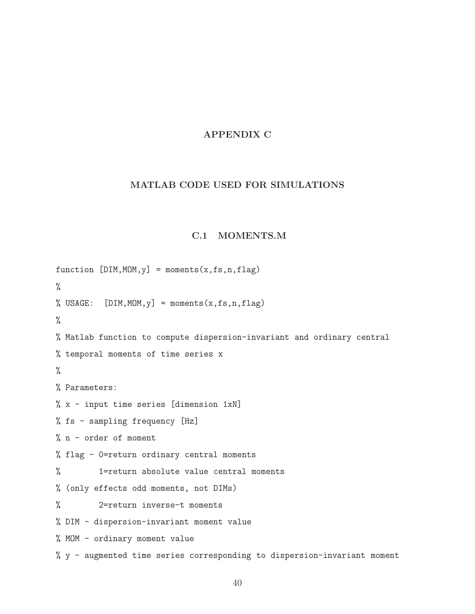## APPENDIX C

## MATLAB CODE USED FOR SIMULATIONS

## C.1 MOMENTS.M

function  $[DIM,MOM,y] = moments(x,fs,n,flag)$ % % USAGE:  $[DIM, MOM, y] = moments(x, fs, n, flag)$ % % Matlab function to compute dispersion-invariant and ordinary central % temporal moments of time series x % % Parameters: % x - input time series [dimension 1xN] % fs - sampling frequency [Hz] % n - order of moment % flag - 0=return ordinary central moments % 1=return absolute value central moments % (only effects odd moments, not DIMs) % 2=return inverse-t moments % DIM - dispersion-invariant moment value % MOM - ordinary moment value % y - augmented time series corresponding to dispersion-invariant moment

40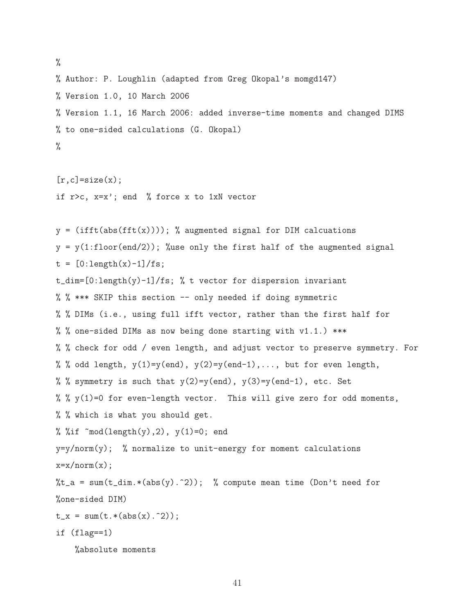% % Author: P. Loughlin (adapted from Greg Okopal's momgd147) % Version 1.0, 10 March 2006 % Version 1.1, 16 March 2006: added inverse-time moments and changed DIMS % to one-sided calculations (G. Okopal) %

 $[r,c]$ =size $(x)$ ; if r>c, x=x'; end % force x to 1xN vector

 $y = (ifft(abs(fft(x))))$ ; % augmented signal for DIM calcuations  $y = y(1:floor(end/2))$ ; %use only the first half of the augmented signal  $t = [0:length(x)-1]/fs;$ t\_dim=[0:length(y)-1]/fs; % t vector for dispersion invariant % % \*\*\* SKIP this section -- only needed if doing symmetric % % DIMs (i.e., using full ifft vector, rather than the first half for % % one-sided DIMs as now being done starting with v1.1.) \*\*\* % % check for odd / even length, and adjust vector to preserve symmetry. For % % odd length,  $y(1)=y(\text{end}), y(2)=y(\text{end}-1), \ldots$ , but for even length, % % symmetry is such that  $y(2)=y(\text{end}), y(3)=y(\text{end}-1)$ , etc. Set % %  $y(1)=0$  for even-length vector. This will give zero for odd moments, % % which is what you should get. % %if  $\text{mod}(\text{length}(y), 2)$ ,  $y(1)=0$ ; end  $y=y/norm(y)$ ; % normalize to unit-energy for moment calculations  $x=x/norm(x)$ ;  $\lambda t_a = \text{sum}(t_dim.*(abs(y).^2));$  % compute mean time (Don't need for %one-sided DIM)  $t_x = sum(t.*(abs(x).^2));$ if (flag==1)

%absolute moments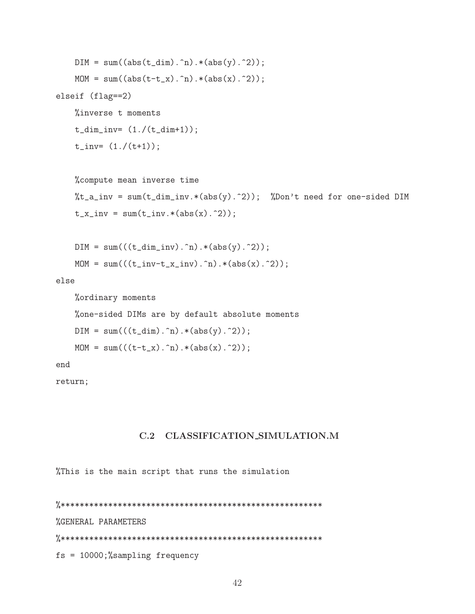```
DIM = sum((abs(t_dim).n).*(abs(y).^2));MOM = sum((abs(t-t_x).n).*(abs(x).2));elseif (flag==2)
   %inverse t moments
   t_dim_inv = (1./(t_dim+1));t_{inv} = (1./(t+1));
```

```
%compute mean inverse time
%t_a_inv = sum(t_dim_inv.*(abs(y).^2)); %Don't need for one-sided DIM
t_x_inv = sum(t_inv.*(abs(x).^2));
```

```
DIM = sum(((t_dim_inv).^n).*(abs(y).^2));MOM = sum((t_inv-t_ix_inv).^n.*(abs(x).^2));
```
else

```
%ordinary moments
%one-sided DIMs are by default absolute moments
DIM = sum(((t_dim).n).*(abs(y).2));MOM = sum((t-t_x).^n).*(abs(x).^2));
```
end

return;

## C.2 CLASSIFICATION\_SIMULATION.M

%This is the main script that runs the simulation

%GENERAL PARAMETERS  $fs = 10000;$ %sampling frequency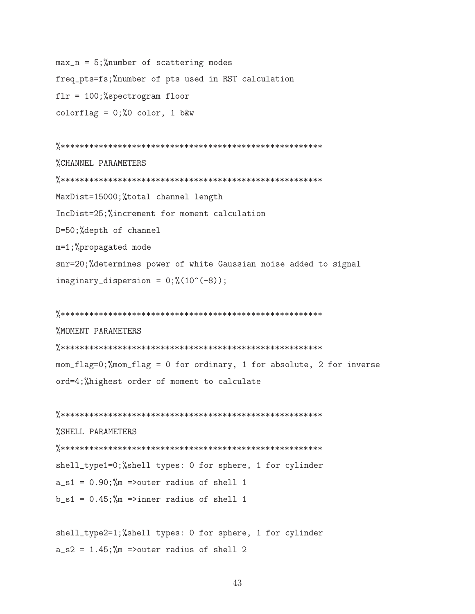$max_n = 5$ ; %number of scattering modes freq\_pts=fs;%number of pts used in RST calculation  $f1r = 100$ ;%spectrogram floor colorflag =  $0; \%0$  color, 1 b&w

%CHANNEL PARAMETERS MaxDist=15000;%total channel length IncDist=25;%increment for moment calculation D=50;%depth of channel m=1;%propagated mode snr=20;%determines power of white Gaussian noise added to signal  $imaginary_dispersion = 0;\%(10^(-8));$ 

**%MOMENT PARAMETERS** mom\_flag=0;%mom\_flag = 0 for ordinary, 1 for absolute, 2 for inverse ord=4;%highest order of moment to calculate

%SHELL PARAMETERS shell\_type1=0;%shell types: 0 for sphere, 1 for cylinder  $a_s1 = 0.90$ ; %m =>outer radius of shell 1  $b_s1 = 0.45$ ; %m =>inner radius of shell 1

shell\_type2=1;%shell types: 0 for sphere, 1 for cylinder  $a_s2 = 1.45$ ; %m =>outer radius of shell 2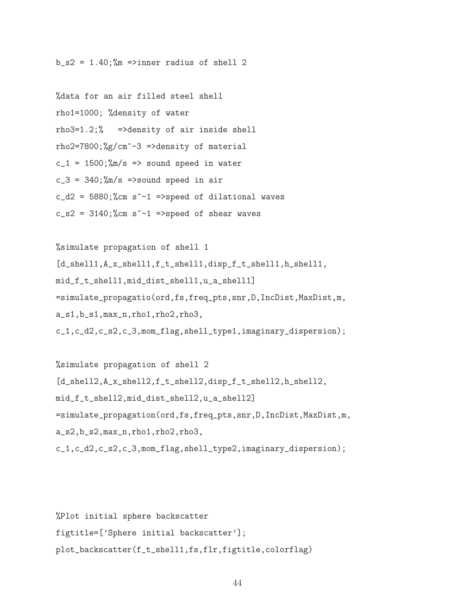$b_s2 = 1.40$ ;  $\frac{m}{m}$  =>inner radius of shell 2

%data for an air filled steel shell rho1=1000; %density of water rho3=1.2;% =>density of air inside shell rho2=7800;%g/cm^-3 =>density of material  $c_1 = 1500$ ; %m/s => sound speed in water  $c_3 = 340$ ;  $\frac{m}{s}$  =>sound speed in air  $c_d^2 = 5880$ ;%cm s<sup>2</sup>-1 =>speed of dilational waves  $c_s = 3140$ ;%cm s<sup>2</sup>-1 =>speed of shear waves

```
%simulate propagation of shell 1
[d_shell1,A_x_shell1,f_t_shell1,disp_f_t_shell1,h_shell1,
mid_f_t_shell1,mid_dist_shell1,u_a_shell1]
=simulate_propagatio(ord,fs,freq_pts,snr,D,IncDist,MaxDist,m,
a_s1,b_s1,max_n,rho1,rho2,rho3,
c_1,c_d2,c_s2,c_3,mom_flag,shell_type1,imaginary_dispersion);
```
%simulate propagation of shell 2 [d\_shell2,A\_x\_shell2,f\_t\_shell2,disp\_f\_t\_shell2,h\_shell2, mid\_f\_t\_shell2,mid\_dist\_shell2,u\_a\_shell2] =simulate\_propagation(ord,fs,freq\_pts,snr,D,IncDist,MaxDist,m, a\_s2,b\_s2,max\_n,rho1,rho2,rho3, c\_1,c\_d2,c\_s2,c\_3,mom\_flag,shell\_type2,imaginary\_dispersion);

%Plot initial sphere backscatter figtitle=['Sphere initial backscatter']; plot\_backscatter(f\_t\_shell1,fs,flr,figtitle,colorflag)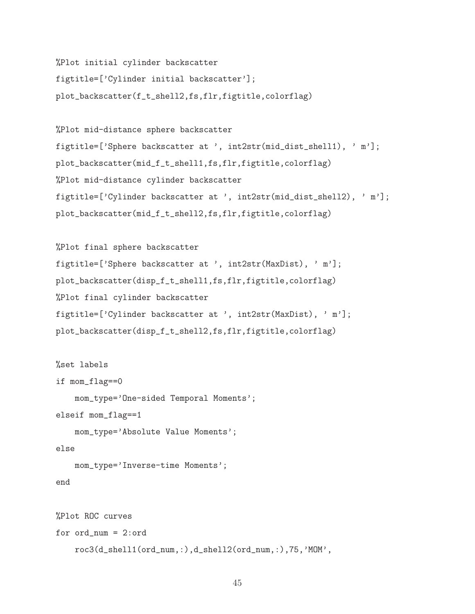```
%Plot initial cylinder backscatter
figtitle=['Cylinder initial backscatter'];
plot_backscatter(f_t_shell2,fs,flr,figtitle,colorflag)
```

```
%Plot mid-distance sphere backscatter
figtitle=['Sphere backscatter at ', int2str(mid_dist_shell1), ' m'];
plot_backscatter(mid_f_t_shell1,fs,flr,figtitle,colorflag)
%Plot mid-distance cylinder backscatter
figtitle=['Cylinder backscatter at ', int2str(mid_dist_shell2), ' m'];
plot_backscatter(mid_f_t_shell2,fs,flr,figtitle,colorflag)
```

```
%Plot final sphere backscatter
figtitle=['Sphere backscatter at ', int2str(MaxDist), ' m'];
plot_backscatter(disp_f_t_shell1,fs,flr,figtitle,colorflag)
%Plot final cylinder backscatter
figtitle=['Cylinder backscatter at ', int2str(MaxDist), ' m'];
plot_backscatter(disp_f_t_shell2,fs,flr,figtitle,colorflag)
```

```
%set labels
if mom_flag==0
    mom_type='One-sided Temporal Moments';
elseif mom_flag==1
    mom_type='Absolute Value Moments';
else
    mom_type='Inverse-time Moments';
end
%Plot ROC curves
for ord_num = 2:ord
    roc3(d_shell1(ord_num,:),d_shell2(ord_num,:),75,'MOM',
```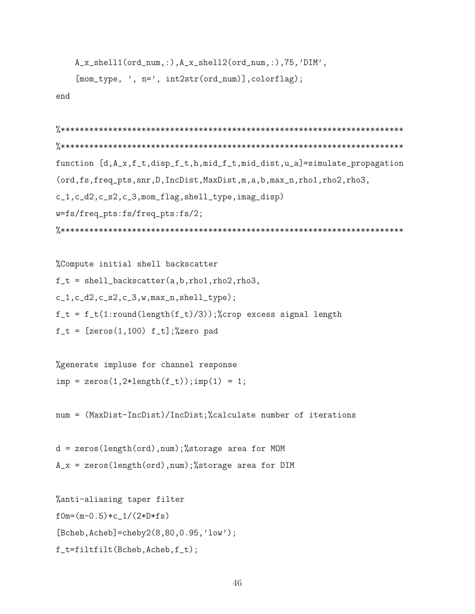```
A_x_shell1(ord_num,:),A_x_shell2(ord_num,:),75,'DIM',
[mom_type, ', n=', int2str(ord_number), colorflag);
```
end

```
function [d, A_x, f_t, disp_t, h, mid_t, mid_dist, u_a]=simulate_propagation
(ord, fs, freq_pts, snr, D, IncDist, MaxDist, m, a, b, max_n, rho1, rho2, rho3,
c_1,c_d2,c_s2,c_3,mom_flag,shell_type,imag_disp)
w=fs/freq_pts:fs/freq_pts:fs/2;
```

```
%Compute initial shell backscatter
f_t = shell_backscatter(a,b,rho1,rho2,rho3,c_1, c_d2, c_s2, c_3, w, max_n, shell_type);f_t = f_t(1:round(length(f_t)/3));%crop excess signal length
f_t = [zeros(1, 100) f_t], %zero pad
```
%generate impluse for channel response  $imp = zeros(1, 2*length(f_t)); imp(1) = 1;$ 

num = (MaxDist-IncDist)/IncDist;%calculate number of iterations

 $d = zeros(length(ord),num); % storage area for MOM$  $A_x = zeros(length(ord), num); % storage area for DIM$ 

```
%anti-aliasing taper filter
f0m=(m-0.5)*c_1/(2*D*fs)[Bcheb, Acheb] = cheby2(8, 80, 0.95, 'low');f_t=filtfilt(Bcheb,Acheb,f_t);
```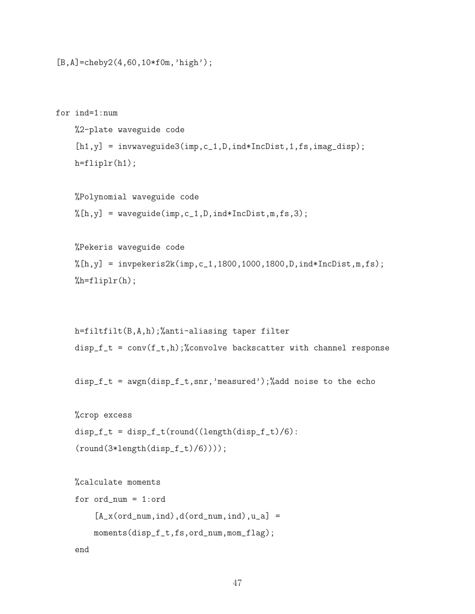```
[B,A]=cheby2(4,60,10*f0m,'high');
```

```
for ind=1:num
    %2-plate waveguide code
    [h1,y] = invwaveguide3(imp, c_1, D, ind*IncDist, 1, fs, imag\_disp);h=fliplr(h1);
```

```
%Polynomial waveguide code
\lambda[h,y] = waveguide(imp,c_1,D,ind*IncDist,m,fs,3);
```

```
%Pekeris waveguide code
%[h,y] = invpekeris2k(imp,c_1,1800,1000,1800,D,ind*IncDist,m,fs);
%h=fliplr(h);
```

```
h=filtfilt(B,A,h);%anti-aliasing taper filter
disp_f_t = conv(f_t, h); % convolve backscatter with channel response
```

```
disp_f_t = awgn(disp_f_t,snr,'measured');%add noise to the echo
```

```
%crop excess
disp_f_t = disp_f_t(tound((length(disp_f_t)/6)):
(round(3*length(disp_f_t)/6))));
```

```
%calculate moments
for ord_num = 1:ord
    [A_x(ord_name,ind),d(ord_number,ind),u_a] =moments(disp_f_t,fs,ord_num,mom_flag);
end
```
47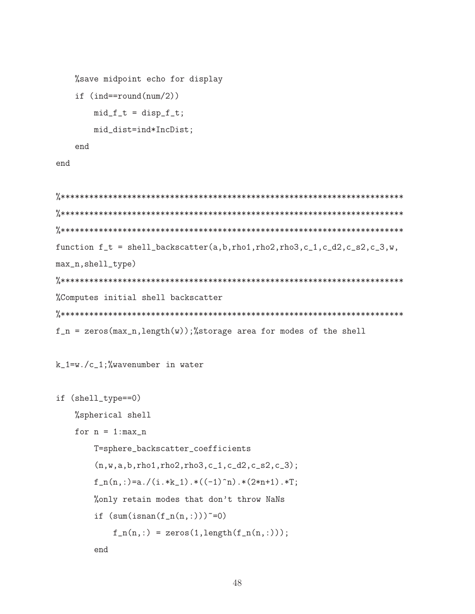```
%save midpoint echo for display
if (ind=round(num/2))mid_f_t = disp_f_t;mid_dist=ind*IncDist;
end
```
end

```
function f_t = shell_backscatter(a,b,rho1,rho2,rho3,c_1,c_d2,c_s2,c_3,w,max_n,shell_type)
%Computes initial shell backscatter
f_n = zeros(max_n, length(w));%storage area for modes of the shell
```
#### $k_1 = w \cdot /c_1$ ; %wavenumber in water

```
if (shell_type==0)
    %spherical shell
    for n = 1:max_nT=sphere_backscatter_coefficients
        (n, w, a, b, rho1, rho2, rho3, c_1, c_d2, c_s2, c_3);f_n(n,:)=a./(i.*k_1).*(-1)^n).*(2*n+1).*T;%only retain modes that don't throw NaNs
        if (sum(isnan(f_n(n,:)))<sup>=0)</sup>
            f_n(n,:) = zeros(1, length(f_n(n,:)));
        end
```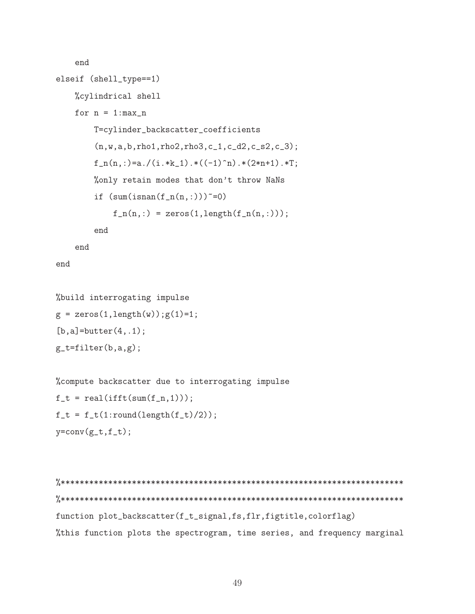```
end
elseif (shell_type==1)
    %cylindrical shell
    for n = 1:max_nT=cylinder_backscatter_coefficients
        (n, w, a, b, rho1, rho2, rho3, c_1, c_d2, c_s2, c_3);f_n(n,:)=a./(i.*k_1).*(-1)^n).*(2*n+1).*T;%only retain modes that don't throw NaNs
        if (sum(isnan(f_n(n,:)))<sup>=0)</sup>
            f_n(n,:) = zeros(1, length(f_n(n,:)));
        end
    end
```
end

```
%build interrogating impulse
g = zeros(1, length(w)); g(1)=1;[b,a]=butter(4, .1);
g_t = filter(b, a, g);
```

```
%compute backscatter due to interrogating impulse
f_t = \text{real}(\text{ifft}(\text{sum}(f_n, 1)));
f_t = f_t(1:round(length(f_t)/2));y=conv(g_t, f_t);
```

```
function plot_backscatter(f_t_signal,fs,flr,figtitle,colorflag)
%this function plots the spectrogram, time series, and frequency marginal
```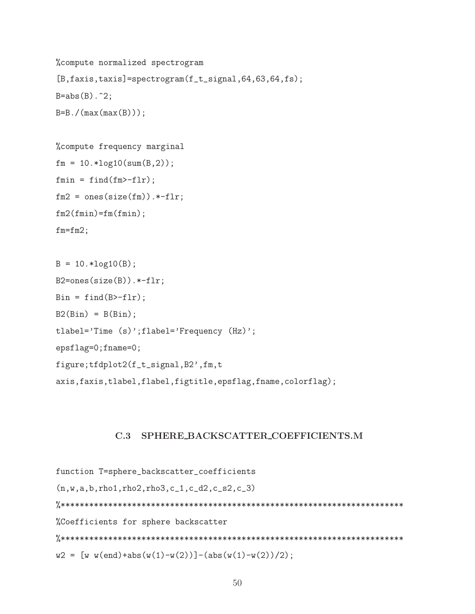```
%compute normalized spectrogram
[B, \text{faxis}, \text{taxis}]=spectrogram(f_t_s, \text{signal}, 64, 63, 64, fs);B = abs(B). 2;B = B. / (max(max(B)));
```

```
% compute frequency marginal
fm = 10.*log10(sum(B,2));fmin = find(fm&gt-fl)r;
fm2 = ones(size(fm)).*-flr;fm2(fmin)=fm(fmin);fm = fm2;
```

```
B = 10.*log10(B);B2 = ones(size(B)). * - f1r;Bin = find(B>-f1r);B2(Bin) = B(Bin);tlabel='Time (s)';flabel='Frequency (Hz)';
epsflag=0;fname=0;figure; tfdplot2(f_t_signal, B2', fm, t
axis, faxis, tlabel, flabel, figtitle, epsflag, fname, colorflag);
```
#### $C.3$ SPHERE BACKSCATTER COEFFICIENTS.M

```
function T=sphere_backscatter_coefficients
(n, w, a, b, rho1, rho2, rho3, c_1, c_d2, c_s2, c_3)%Coefficients for sphere backscatter
w2 = [w w(end)+abs(w(1)-w(2))] - (abs(w(1)-w(2))/2);
```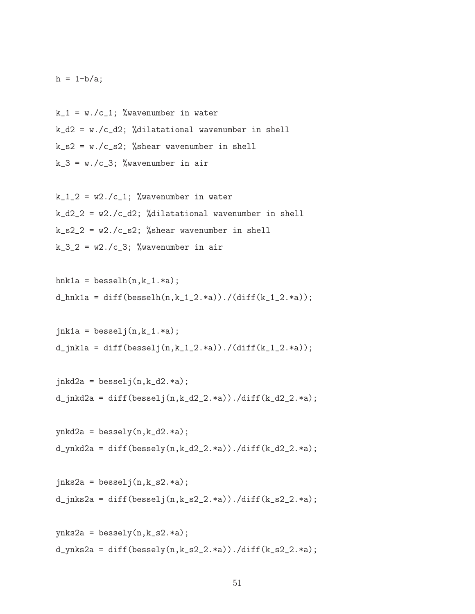$h = 1-b/a;$ 

 $k_1 = w. /c_1$ ; %wavenumber in water  $k_d^2 = w \cdot /c_d^2$ ; %dilatational wavenumber in shell  $k$ <sub>-</sub> $s$ 2 = w./c<sub>-</sub> $s$ 2; %shear wavenumber in shell  $k_3 = w.$ /c\_3; %wavenumber in air

 $k_1$ <sub>-2</sub> =  $w$ 2./c<sub>-1;</sub> % wavenumber in water  $k_d^2$  = w2./c\_d2; %dilatational wavenumber in shell  $k$ <sub>-</sub> $s$ <sup>2</sup> $-$ *k*  $w$ <sup>2</sup> $\cdot$ / $c$ <sub>-</sub> $s$ <sup>2</sup> $\cdot$  % % % % % % wavenumber in shell  $k_3_2 = w_2./c_3$ ; %wavenumber in air

$$
hnk1a = besselh(n,k_1.*a);
$$
  
d\_hnk1a = diff(besselh(n,k\_1\_2.\*a))./(diff(k\_1\_2.\*a));

```
jnk1a = besselj(n,k_1.*a);
d_jnk1a = diff(besselj(n,k_1,2.*a))./(diff(k_1_2.*a));
```

```
jnkd2a = besselj(n,k_d2.*a);d_jnkd2a = diff(besselj(n,k_d2_2.*a))./diff(k_d2_2.*a);
```

```
ynkd2a = bessely(n,k_d2.*a);d_ynkd2a = diff(bessely(n,k_d2_2.*a))./diff(k_d2_2.*a);
```

```
jnks2a = besselj(n,k_s2.*a);
d_{\text{in}}ks2a = diff(besselj(n,k_s2_2.*a))./diff(k_s2_2.*a);
```

```
ynks2a = bessely(n,k_s2.*a);d_{\text{ynks2a}} = diff(bessely(n,k_s2_2.*a))./diff(k_s2_2.*a);
```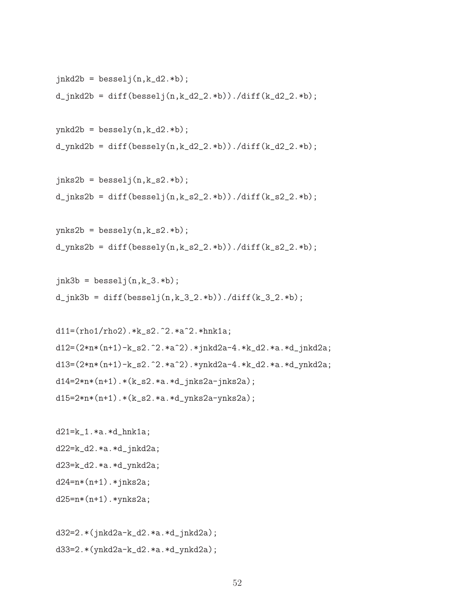```
jnkd2b = besselj(n,k_d2.*b);
d_jnkd2b = diff(besselj(n,k_d2_2.*b))./diff(k_d2_2.*b);
ynkd2b = bessely(n,k_d2.*b);d_ynkd2b = diff(bessely(n,k_d2_2.*b))./diff(k_d2_2.*b);
```

```
d_{\text{links}} = \text{diff}(besselj(n,k_s2_2.*b))./diff(k_s2_2.*b);
```
 $jnks2b = besselj(n,k_s2.*b);$ 

```
ynks2b = bessely(n,k_s2.*b);d_ynks2b = diff(bessely(n,k_s2_2.*b))./diff(k_s2_2.*b);
```

```
jnk3b = besselj(n,k_3.*b);d_{\text{link}} = diff(besselj(n,k_3_2, *b))./diff(k_3_2.*b);
```

```
d11=(rho1/rho2).*k_s2.^2.*a^2.*hnk1a;d12=(2*n*(n+1)-k_s2.^2.*a^2).*jnkd2a-4.*k_d2.*a.*d_jnkd2a;
d13=(2*n*(n+1)-k_s2.^2.*a^2).*ynkd2a-4.*k_d2.*a.*d_ynkd2a;
d14=2*n*(n+1)*(k_s2.*a.*d_jnks2a-jnks2a);d15=2*n*(n+1)*(k_s2.*a.*d_ynks2a-ynks2a);
```

```
d21=k_1.*a.*d_hnk1a;
d22=k_d2.*a.*d_jnkd2a;
d23=k_d2.*a.*d_ynkd2a;
d24=n*(n+1).*jnks2a;d25=n*(n+1).*ynks2a;
```
d32=2.\*(jnkd2a-k\_d2.\*a.\*d\_jnkd2a); d33=2.\*(ynkd2a-k\_d2.\*a.\*d\_ynkd2a);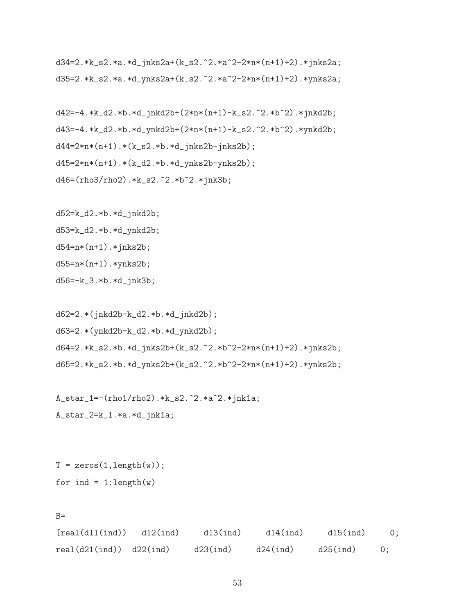d34=2.\*k\_s2.\*a.\*d\_jnks2a+(k\_s2.^2.\*a^2-2\*n\*(n+1)+2).\*jnks2a; d35=2.\*k\_s2.\*a.\*d\_ynks2a+(k\_s2.^2.\*a^2-2\*n\*(n+1)+2).\*ynks2a;

```
d42=-4.*k_d2.*b.*d_jnkd2b+(2*n*(n+1)-k_s2.^2.*b^2).*jnkd2b;
d43=-4.*k_d2.*b.*d_ynkd2b+(2*n*(n+1)-k_s2.^2.*b^2).*ynkd2b;
d44=2*n*(n+1)*(k_s2.*b.*d_jnks2b-jnks2b);d45=2*n*(n+1)*(k_d2.*b.*d_ynks2b-ynks2b);d46=(rho3/rho2).*k_s2.^2.*b^2.*jnk3b;
```
d52=k\_d2.\*b.\*d\_jnkd2b; d53=k\_d2.\*b.\*d\_ynkd2b;  $d54=n*(n+1).*jnks2b;$ d55=n\*(n+1).\*ynks2b; d56=-k\_3.\*b.\*d\_jnk3b;

```
d62=2.*(jnkd2b-k_d2.*b.*d_jnkd2b);
d63=2.*(ynkd2b-k_d2.*b.*d_ynkd2b);
d64=2.*k_s2.*b.*d_jnks2b+(k_s2.^2.*b^2-2*n*(n+1)+2).*jnks2b;
d65=2.*k_s2.*b.*d_ynks2b+(k_s2.^2.*b^2-2*n*(n+1)+2).*ynks2b;
```

```
A_star_1=-(rho1/rho2).*k_s2.^2.*a^2.*jnk1a;
A_star_2=k_1.*a.*d_jnk1a;
```
 $T = zeros(1, length(w));$ for ind =  $1:length(w)$ 

```
B=
```
 $[real(d11(ind))$  d12(ind) d13(ind) d14(ind) d15(ind) 0;  $real(d21(ind))$   $d22(ind)$   $d23(ind)$   $d24(ind)$   $d25(ind)$  0;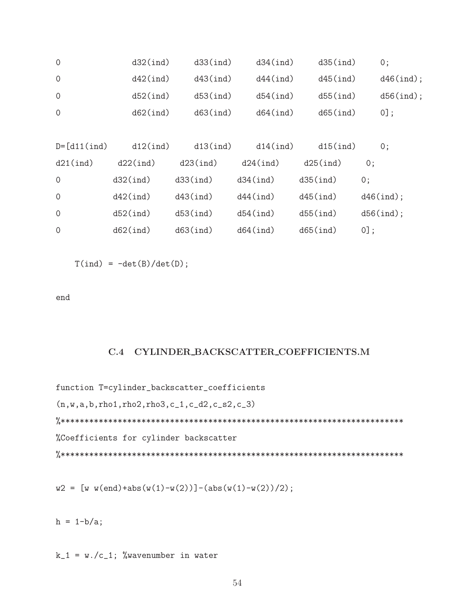| $\mathbf{0}$     | $d32$ (ind) | d33(int)    | $d34$ $(ind)$ | $d35$ $(ind)$ | 0;           |
|------------------|-------------|-------------|---------------|---------------|--------------|
| $\mathbf{0}$     | $d42$ (ind) | $d43$ (ind) | $d44$ (ind)   | $d45$ $(ind)$ | $d46$ (ind); |
| $\overline{0}$   | $d52$ (ind) | d53(int)    | $d54$ (ind)   | $d55$ $(ind)$ | $d56$ (ind); |
| $\mathbf{0}$     | $d62$ (ind) | $d63$ (ind) | $d64$ (ind)   | $d65$ (ind)   | $0$ ];       |
|                  |             |             |               |               |              |
| $D = [d11(int)]$ | $d12$ (ind) | $d13$ (ind) | $d14$ (ind)   | $d15$ $(ind)$ | 0;           |
| $d21$ (ind)      | $d22$ (ind) | $d23$ (ind) | $d24$ (ind)   | $d25$ $(ind)$ | 0;           |
| $\overline{0}$   | $d32$ (ind) | d33(int)    | $d34$ $(ind)$ | $d35$ $(ind)$ | 0;           |
| $\mathbf{0}$     | $d42$ (ind) | $d43$ (ind) | $d44$ (ind)   | $d45$ $(ind)$ | $d46$ (ind); |
| $\overline{0}$   | $d52$ (ind) | d53(int)    | $d54$ (ind)   | $d55$ $(ind)$ | $d56$ (ind); |
| $\mathbf 0$      | $d62$ (ind) | $d63$ (ind) | $d64$ (ind)   | $d65$ (ind)   | $0$ ];       |

 $T(ind) = -det(B)/det(D)$ ;

end

#### C.4 CYLINDER BACKSCATTER COEFFICIENTS.M

function T=cylinder\_backscatter\_coefficients (n,w,a,b,rho1,rho2,rho3,c\_1,c\_d2,c\_s2,c\_3) %\*\*\*\*\*\*\*\*\*\*\*\*\*\*\*\*\*\*\*\*\*\*\*\*\*\*\*\*\*\*\*\*\*\*\*\*\*\*\*\*\*\*\*\*\*\*\*\*\*\*\*\*\*\*\*\*\*\*\*\*\*\*\*\*\*\*\*\*\*\*\*\* %Coefficients for cylinder backscatter %\*\*\*\*\*\*\*\*\*\*\*\*\*\*\*\*\*\*\*\*\*\*\*\*\*\*\*\*\*\*\*\*\*\*\*\*\*\*\*\*\*\*\*\*\*\*\*\*\*\*\*\*\*\*\*\*\*\*\*\*\*\*\*\*\*\*\*\*\*\*\*\*

 $w2 = [w w(\text{end}) + abs(w(1)-w(2))] - (abs(w(1)-w(2))/2);$ 

 $h = 1-b/a;$ 

 $k_1 = w. /c_1$ ; %wavenumber in water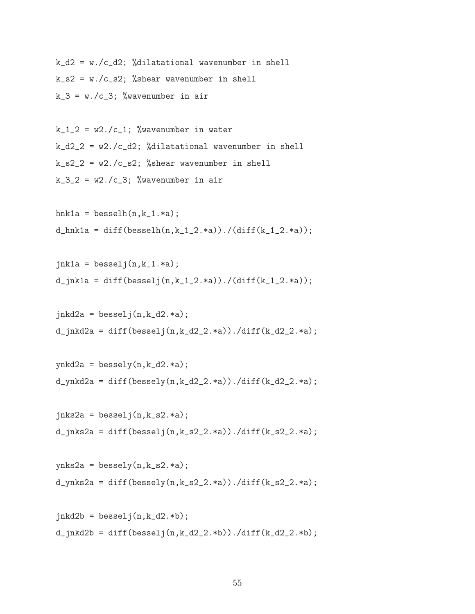```
k_d^2 = w. /c_d^2; %dilatational wavenumber in shell
k_s = w. /c_s?; %shear wavenumber in shell
k_3 = w. /c_3; %wavenumber in air
```
 $k_1$  =  $w$ 2./c<sub>1</sub>; % wavenumber in water  $k_d^2$  =  $w^2$ ./c\_d2; %dilatational wavenumber in shell  $k$ <sub>-</sub> $s2$ <sup>-</sup> $w2$ ./ $c$ <sub>-</sub> $s2$ ; %shear wavenumber in shell  $k_3$  =  $w^2$ ./c\_3; % wavenumber in air

```
hnk1a = besselh(n, k_1.*a);
d_hnkla = diff(besselh(n,k_1,2.*a))./(diff(k_1_2.*a));
```

```
jnk1a = besselj(n,k_1.*a);d_jnk1a = diff(besselj(n,k_1,2.*a))./(diff(k_1_2.*a));
```

```
jnkd2a = besselj(n,k_d2.*a);d_jnkd2a = diff(besselj(n,k_d2_2.*a))./diff(k_d2_2.*a);
```

```
ynkd2a = bessely(n,k_d2.*a);d_ynkd2a = diff(bessely(n,k_d2_2.*a))./diff(k_d2_2.*a);
```

```
jnks2a = besselj(n,k_s2.*a);d_{\text{in}}ks2a = diff(besselj(n,k_s2_2.*a))./diff(k_s2_2.*a);
```

```
ynks2a = bessely(n,k_s2.*a);d_{\text{ynks2a}} = diff(bessely(n,k_s2_2.*a))./diff(k_s2_2.*a);
```

```
jnkd2b = besselj(n,k_d2.*b);
d_jnkd2b = diff(besselj(n,k_d2_2.*b))./diff(k_d2_2.*b);
```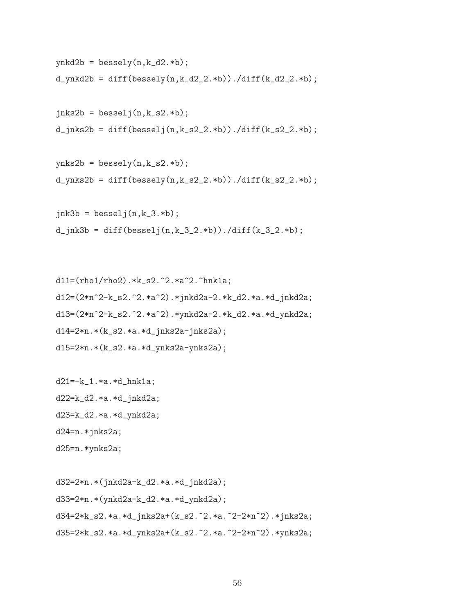```
ynkd2b = bessely(n,k_d2.*b);
d_ynkd2b = diff(bessely(n,k_d2_2.*b))./diff(k_d2_2.*b);
jnks2b = besselj(n,k_s2.*b);d_jnks2b = diff(besselj(n,k_s2_2.*b))./diff(k_s2_2.*b);
ynks2b = bessely(n,k_s2.*b);d_ynks2b = diff(bessely(n,k_s2_2.*b))./diff(k_s2_2.*b);
jnk3b = besselj(n,k_3.*b);d_jnk3b = diff(besselj(n,k_3_2.*b))./diff(k_3_2.*b);
```

```
d11=(rho1/rho2).*k_s2.^2.*a^2.^hnk1a;
d12=(2*n^2-k_s2.^2.*a^2).*jnkd2a-2.*k_d2.*a.*d_jnkd2a;
d13=(2*n^2-k_s2.^2.*a^2)*ynkd2a-2.*k_d2.*a.*d_ynkd2a;d14=2*n.*(k_s2.*a.*d_jnks2a-jnks2a);d15=2*n.*(k_s2.*a.*d_ynks2a-ynks2a);
```

```
d21=-k_1.*a.*d_hnk1a;
d22=k_d2.*a.*d_jnkd2a;
d23=k_d2.*a.*d_ynkd2a;
d24=n.*jnks2a;
d25=n.*ynks2a;
```
d32=2\*n.\*(jnkd2a-k\_d2.\*a.\*d\_jnkd2a); d33=2\*n.\*(ynkd2a-k\_d2.\*a.\*d\_ynkd2a); d34=2\*k\_s2.\*a.\*d\_jnks2a+(k\_s2.^2.\*a.^2-2\*n^2).\*jnks2a; d35=2\*k\_s2.\*a.\*d\_ynks2a+(k\_s2.^2.\*a.^2-2\*n^2).\*ynks2a;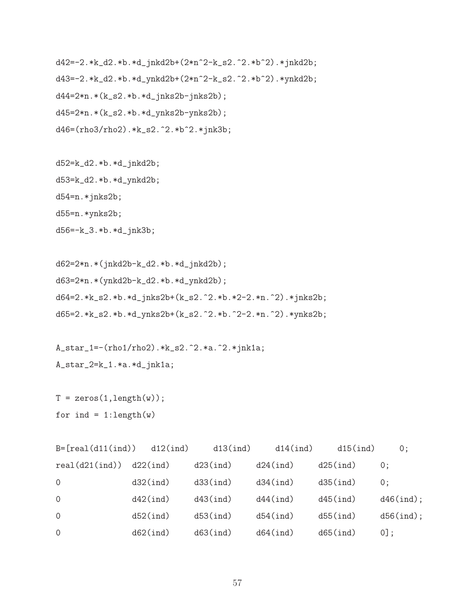d42=-2.\*k\_d2.\*b.\*d\_jnkd2b+(2\*n^2-k\_s2.^2.\*b^2).\*jnkd2b; d43=-2.\*k\_d2.\*b.\*d\_ynkd2b+(2\*n^2-k\_s2.^2.\*b^2).\*ynkd2b; d44=2\*n.\*(k\_s2.\*b.\*d\_jnks2b-jnks2b); d45=2\*n.\*(k\_s2.\*b.\*d\_ynks2b-ynks2b); d46=(rho3/rho2).\*k\_s2.^2.\*b^2.\*jnk3b;

d52=k\_d2.\*b.\*d\_jnkd2b; d53=k\_d2.\*b.\*d\_ynkd2b; d54=n.\*jnks2b; d55=n.\*ynks2b; d56=-k\_3.\*b.\*d\_jnk3b;

d62=2\*n.\*(jnkd2b-k\_d2.\*b.\*d\_jnkd2b); d63=2\*n.\*(ynkd2b-k\_d2.\*b.\*d\_ynkd2b); d64=2.\*k\_s2.\*b.\*d\_jnks2b+(k\_s2.^2.\*b.\*2-2.\*n.^2).\*jnks2b; d65=2.\*k\_s2.\*b.\*d\_ynks2b+(k\_s2.^2.\*b.^2-2.\*n.^2).\*ynks2b;

A\_star\_1=-(rho1/rho2).\*k\_s2.^2.\*a.^2.\*jnk1a; A\_star\_2=k\_1.\*a.\*d\_jnk1a;

```
T = zeros(1, length(w));for ind = 1:length(w)
```

| $B = [real(d11(ind))$ | $d12$ (ind) | $d13$ $(ind)$ | $d14$ (ind)   | $d15$ $(ind)$ | $0$ ;        |
|-----------------------|-------------|---------------|---------------|---------------|--------------|
| real(d21(int))        | $d22$ (ind) | $d23$ $(ind)$ | $d24$ (ind)   | $d25$ $(ind)$ | 0:           |
| $\Omega$              | $d32$ (ind) | d33(int)      | $d34$ $(ind)$ | $d35$ $(ind)$ | 0:           |
| $\Omega$              | $d42$ (ind) | $d43$ (ind)   | $d44$ (ind)   | $d45$ $(ind)$ | $d46$ (ind); |
| $\Omega$              | $d52$ (ind) | d53(int)      | $d54$ $(ind)$ | $d55$ $(ind)$ | $d56$ (ind); |
| $\Omega$              | $d62$ (ind) | $d63$ (ind)   | $d64$ (ind)   | $d65$ (ind)   | $[0]$ ;      |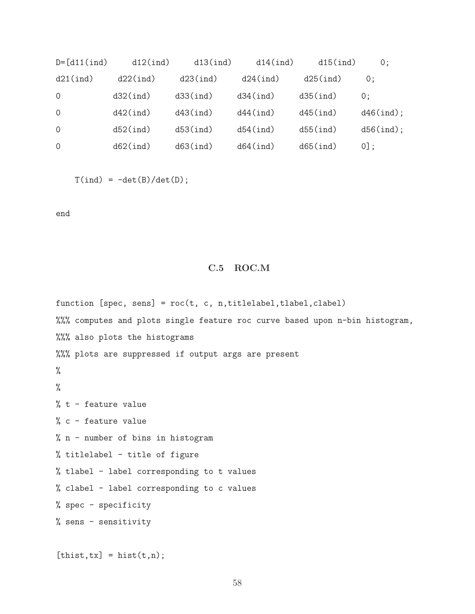| $D = [d11(int)]$ | $d12$ (ind) | $d13$ $(ind)$ | $d14$ (ind)   | $d15$ (ind)   | 0:           |
|------------------|-------------|---------------|---------------|---------------|--------------|
| $d21$ (ind)      | $d22$ (ind) | $d23$ $(ind)$ | $d24$ (ind)   | $d25$ $(ind)$ | 0:           |
| 0                | $d32$ (ind) | d33(int)      | $d34$ $(ind)$ | $d35$ $(ind)$ | 0:           |
| $\Omega$         | $d42$ (ind) | $d43$ $(ind)$ | $d44$ (ind)   | $d45$ $(ind)$ | $d46$ (ind); |
| $\Omega$         | $d52$ (ind) | d53(int)      | $d54$ $(ind)$ | $d55$ $(ind)$ | $d56$ (ind); |
| $\Omega$         | $d62$ (ind) | $d63$ (ind)   | $d64$ (ind)   | $d65$ (ind)   | $0!$ :       |

 $T(ind) = -det(B)/det(D)$ ;

end

## C.5 ROC.M

function  $[spec, sens] = roc(t, c, n, titlelabel,tlabeled, clabel)$ %%% computes and plots single feature roc curve based upon n-bin histogram, %%% also plots the histograms %%% plots are suppressed if output args are present % % % t - feature value % c - feature value % n - number of bins in histogram % titlelabel - title of figure % tlabel - label corresponding to t values % clabel - label corresponding to c values % spec - specificity % sens - sensitivity

 $[$ thist,tx $]$  = hist $(t, n)$ ;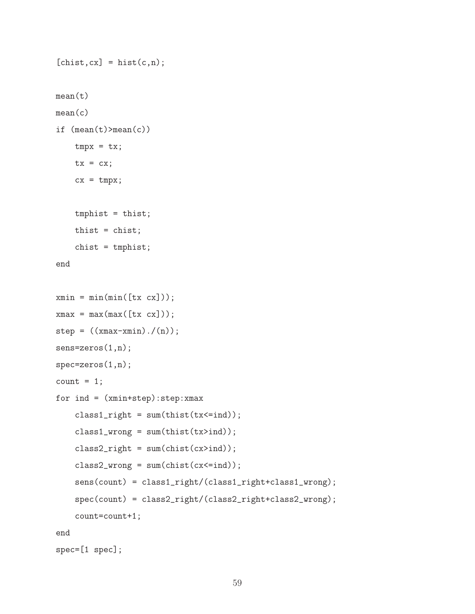```
[<b>chist,cx</b>] = <b>hist(c,n)</b>;mean(t)mean(c)
if (\text{mean}(t) > \text{mean}(c))tmpx = tx;tx = cx;
    cx = tmpx;tmphist = thist;
    thist = chist;
    chist = tmphist;
end
xmin = min(min([tx cx]));
xmax = max(max([tx cx]));
step = ((xmax-xmin) ./(n));sens=zeros(1,n);
spec=zeros(1,n);
count = 1;
for ind = (xmin+step):step:xmax
    class1\_right = sum(thist(tx \leq ind));class1_wrong = sum(thist(tx>ind));
    class2\_right = sum(chist(cx>ind));class2\_wrong = sum(chist(cx \leq ind));sens(count) = class1_right/(class1_right+class1_wrong);
    spec(count) = class2_right/(class2_right+class2_wrong);
    count=count+1;
end
spec=[1 spec];
```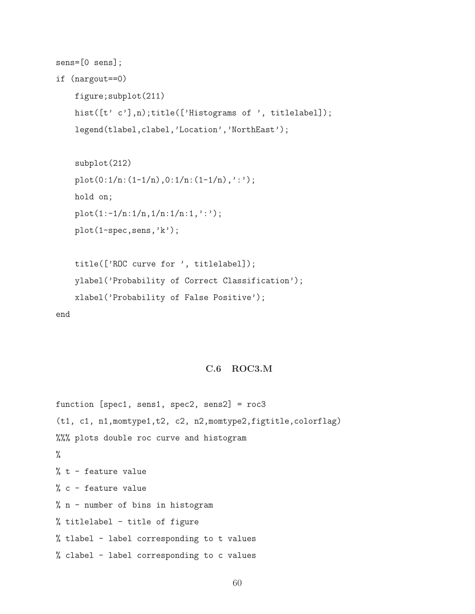```
sens=[0 sens];
```

```
if (nargout==0)
```

```
figure;subplot(211)
hist([t' c'],n);title(['Histograms of ', titlelabel]);
legend(tlabel,clabel,'Location','NorthEast');
```

```
subplot(212)
plot(0:1/n:(1-1/n),0:1/n:(1-1/n),':');
hold on;
plot(1:-1/n:1/n,1/n:1/n:1,':');
plot(1-spec,sens,'k');
```

```
title(['ROC curve for ', titlelabel]);
ylabel('Probability of Correct Classification');
xlabel('Probability of False Positive');
```
end

#### C.6 ROC3.M

function [spec1, sens1, spec2, sens2] = roc3 (t1, c1, n1,momtype1,t2, c2, n2,momtype2,figtitle,colorflag) %%% plots double roc curve and histogram % % t - feature value % c - feature value % n - number of bins in histogram % titlelabel - title of figure % tlabel - label corresponding to t values % clabel - label corresponding to c values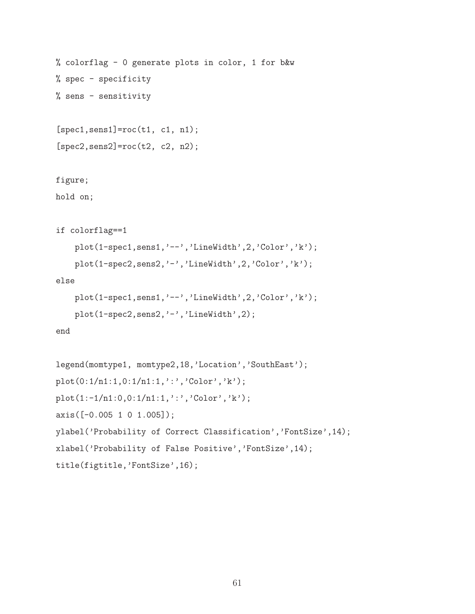```
% colorflag - 0 generate plots in color, 1 for b&w
% spec - specificity
% sens - sensitivity
[spec1, sens1] = roc(t1, c1, n1);[spec2, sens2] = roc(t2, c2, n2);figure;
hold on;
if colorflag==1
    plot(1-spec1,sens1,'--','LineWidth',2,'Color','k');
    plot(1-spec2,sens2,'-','LineWidth',2,'Color','k');
else
    plot(1-spec1,sens1,'--','LineWidth',2,'Color','k');
    plot(1-spec2,sens2,'-','LineWidth',2);
end
legend(momtype1, momtype2,18,'Location','SouthEast');
plot(0:1/n1:1,0:1/n1:1,'::', 'Color', 'k');plot(1:-1/n1:0,0:1/n1:1,':','Color','k');
axis([-0.005 1 0 1.005]);
ylabel('Probability of Correct Classification','FontSize',14);
xlabel('Probability of False Positive','FontSize',14);
title(figtitle,'FontSize',16);
```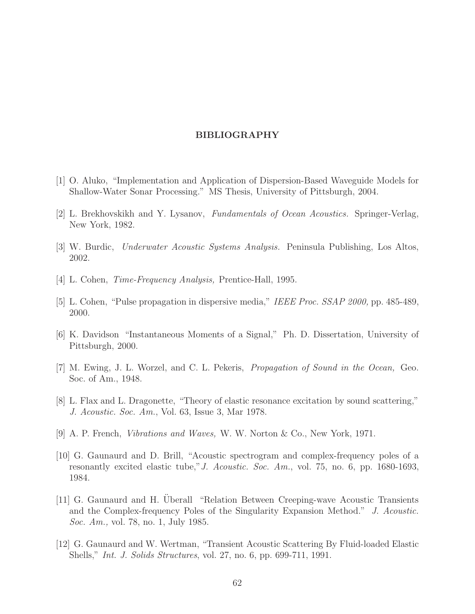#### BIBLIOGRAPHY

- [1] O. Aluko, "Implementation and Application of Dispersion-Based Waveguide Models for Shallow-Water Sonar Processing." MS Thesis, University of Pittsburgh, 2004.
- [2] L. Brekhovskikh and Y. Lysanov, Fundamentals of Ocean Acoustics. Springer-Verlag, New York, 1982.
- <span id="page-70-0"></span>[3] W. Burdic, Underwater Acoustic Systems Analysis. Peninsula Publishing, Los Altos, 2002.
- [4] L. Cohen, Time-Frequency Analysis, Prentice-Hall, 1995.
- [5] L. Cohen, "Pulse propagation in dispersive media," IEEE Proc. SSAP 2000, pp. 485-489, 2000.
- [6] K. Davidson "Instantaneous Moments of a Signal," Ph. D. Dissertation, University of Pittsburgh, 2000.
- [7] M. Ewing, J. L. Worzel, and C. L. Pekeris, Propagation of Sound in the Ocean, Geo. Soc. of Am., 1948.
- [8] L. Flax and L. Dragonette, "Theory of elastic resonance excitation by sound scattering," J. Acoustic. Soc. Am., Vol. 63, Issue 3, Mar 1978.
- [9] A. P. French, Vibrations and Waves, W. W. Norton & Co., New York, 1971.
- [10] G. Gaunaurd and D. Brill, "Acoustic spectrogram and complex-frequency poles of a resonantly excited elastic tube,"J. Acoustic. Soc. Am., vol. 75, no. 6, pp. 1680-1693, 1984.
- [11] G. Gaunaurd and H. Uberall "Relation Between Creeping-wave Acoustic Transients and the Complex-frequency Poles of the Singularity Expansion Method." J. Acoustic. Soc. Am., vol. 78, no. 1, July 1985.
- [12] G. Gaunaurd and W. Wertman, "Transient Acoustic Scattering By Fluid-loaded Elastic Shells," Int. J. Solids Structures, vol. 27, no. 6, pp. 699-711, 1991.